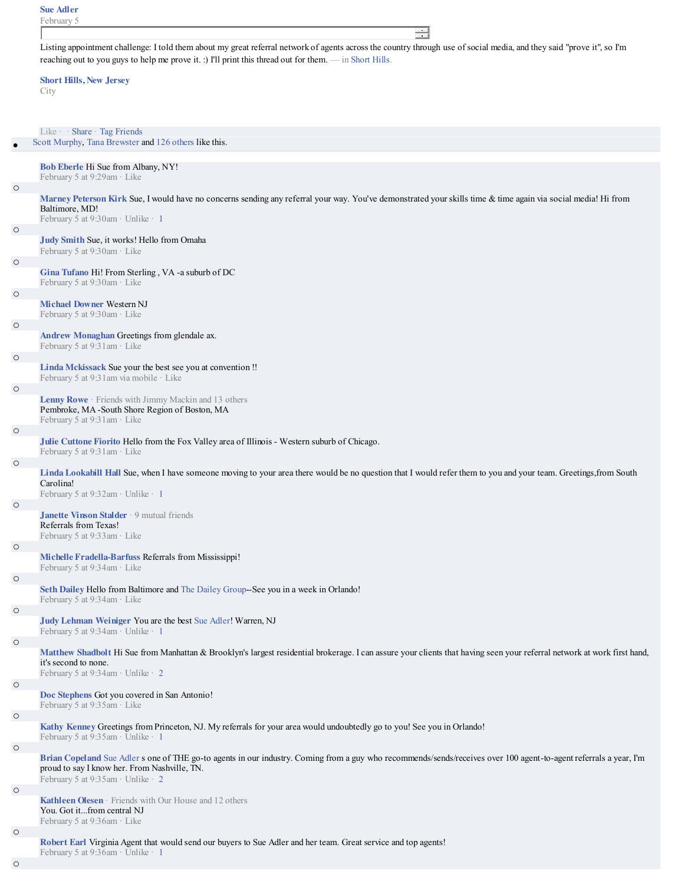|         | <b>Sue Adler</b><br>February 5                                                                                                                                                                                                                                                               |
|---------|----------------------------------------------------------------------------------------------------------------------------------------------------------------------------------------------------------------------------------------------------------------------------------------------|
|         | $\equiv$<br>Listing appointment challenge: I told them about my great referral network of agents across the country through use of social media, and they said "prove it", so I'm<br>reaching out to you guys to help me prove it. :) I'll print this thread out for them. — in Short Hills. |
|         | <b>Short Hills, New Jersey</b><br>City                                                                                                                                                                                                                                                       |
|         | Like $\cdot$ Share Tag Friends<br>Scott Murphy, Tana Brewster and 126 others like this.                                                                                                                                                                                                      |
|         | Bob Eberle Hi Sue from Albany, NY!                                                                                                                                                                                                                                                           |
| $\circ$ | February 5 at 9:29am · Like<br>Marney Peterson Kirk Sue, I would have no concerns sending any referral your way. You've demonstrated your skills time & time again via social media! Hi from<br>Baltimore, MD!                                                                               |
| $\circ$ | February 5 at 9:30am · Unlike · 1<br>Judy Smith Sue, it works! Hello from Omaha                                                                                                                                                                                                              |
| $\circ$ | February 5 at 9:30am · Like                                                                                                                                                                                                                                                                  |
|         | Gina Tufano Hi! From Sterling, VA -a suburb of DC<br>February 5 at 9:30am · Like                                                                                                                                                                                                             |
| $\circ$ | <b>Michael Downer Western NJ</b><br>February 5 at 9:30am · Like                                                                                                                                                                                                                              |
| $\circ$ | Andrew Monaghan Greetings from glendale ax.<br>February 5 at 9:31am · Like                                                                                                                                                                                                                   |
| $\circ$ | Linda Mckissack Sue your the best see you at convention!<br>February 5 at 9:31 am via mobile · Like                                                                                                                                                                                          |
| $\circ$ |                                                                                                                                                                                                                                                                                              |
|         | <b>Lenny Rowe</b> $\cdot$ Friends with Jimmy Mackin and 13 others<br>Pembroke, MA-South Shore Region of Boston, MA<br>February 5 at 9:31am · Like                                                                                                                                            |
| $\circ$ | Julie Cuttone Fiorito Hello from the Fox Valley area of Illinois - Western suburb of Chicago.<br>February 5 at 9:31am · Like                                                                                                                                                                 |
| $\circ$ | Linda Lookabill Hall Sue, when I have someone moving to your area there would be no question that I would refer them to you and your team. Greetings, from South<br>Carolina!<br>February 5 at 9:32am · Unlike · 1                                                                           |
| $\circ$ |                                                                                                                                                                                                                                                                                              |
|         | Janette Vinson Stalder · 9 mutual friends<br>Referrals from Texas!<br>February 5 at 9:33am · Like                                                                                                                                                                                            |
| $\circ$ | Michelle Fradella-Barfuss Referrals from Mississippi!<br>February 5 at $9:34$ am $\cdot$ Like                                                                                                                                                                                                |
| $\circ$ | Seth Dailey Hello from Baltimore and The Dailey Group--See you in a week in Orlando!                                                                                                                                                                                                         |
| $\circ$ | February 5 at 9:34am · Like<br>Judy Lehman Weiniger You are the best Sue Adler! Warren, NJ                                                                                                                                                                                                   |
|         | February 5 at 9:34am · Unlike · 1                                                                                                                                                                                                                                                            |
| $\circ$ | Matthew Shadbolt Hi Sue from Manhattan & Brooklyn's largest residential brokerage. I can assure your clients that having seen your referral network at work first hand,<br>it's second to none.<br>February 5 at 9:34am · Unlike · 2                                                         |
| $\circ$ | Doc Stephens Got you covered in San Antonio!                                                                                                                                                                                                                                                 |
| $\circ$ | February 5 at 9:35am · Like<br>Kathy Kenney Greetings from Princeton, NJ. My referrals for your area would undoubtedly go to you! See you in Orlando!                                                                                                                                        |
| $\circ$ | February 5 at 9:35am · Unlike · 1                                                                                                                                                                                                                                                            |
|         | Brian Copeland Sue Adler s one of THE go-to agents in our industry. Coming from a guy who recommends/sends/receives over 100 agent-to-agent referrals a year, I'm<br>proud to say I know her. From Nashville, TN.<br>February 5 at 9:35am · Unlike · 2                                       |
| $\circ$ |                                                                                                                                                                                                                                                                                              |
|         | Kathleen Olesen · Friends with Our House and 12 others<br>You. Got itfrom central NJ<br>February 5 at 9:36am · Like                                                                                                                                                                          |
| $\circ$ | Robert Earl Virginia Agent that would send our buyers to Sue Adler and her team. Great service and top agents!<br>February 5 at 9:36am · Unlike · 1                                                                                                                                          |
| $\circ$ |                                                                                                                                                                                                                                                                                              |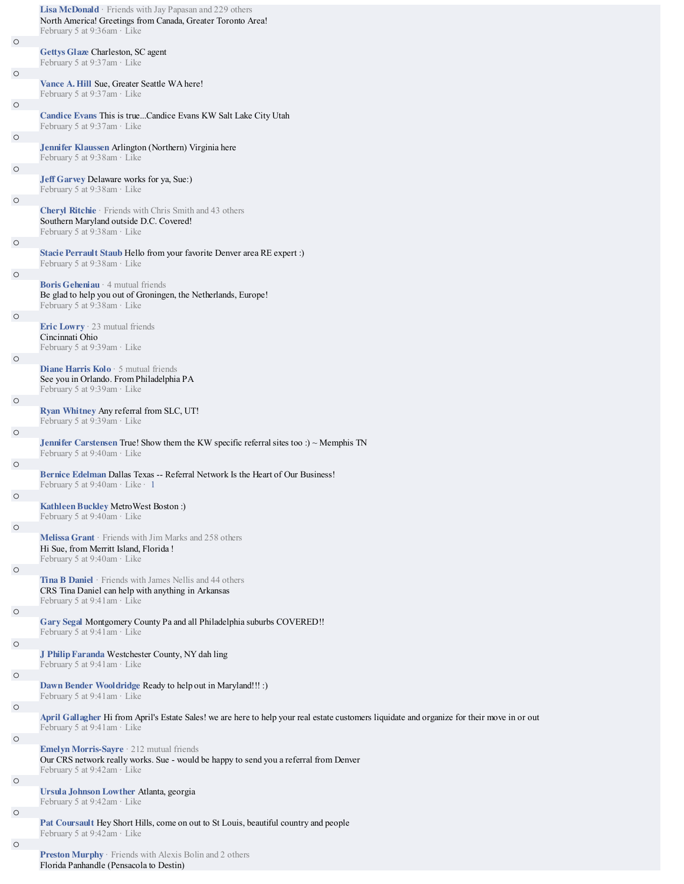|         | Lisa McDonald · Friends with Jay Papasan and 229 others<br>North America! Greetings from Canada, Greater Toronto Area!<br>February 5 at 9:36am · Like                       |
|---------|-----------------------------------------------------------------------------------------------------------------------------------------------------------------------------|
| $\circ$ | Gettys Glaze Charleston, SC agent                                                                                                                                           |
| $\circ$ | February 5 at 9:37am · Like                                                                                                                                                 |
|         | Vance A. Hill Sue, Greater Seattle WA here!<br>February 5 at $9:37$ am $\cdot$ Like                                                                                         |
| $\circ$ | Candice Evans This is trueCandice Evans KW Salt Lake City Utah<br>February 5 at 9:37am · Like                                                                               |
| $\circ$ | Jennifer Klaussen Arlington (Northern) Virginia here                                                                                                                        |
| $\circ$ | February 5 at 9:38am · Like<br><b>Jeff Garvey Delaware works for ya, Sue:</b> )                                                                                             |
| $\circ$ | February 5 at 9:38am · Like                                                                                                                                                 |
|         | <b>Cheryl Ritchie</b> · Friends with Chris Smith and 43 others<br>Southern Maryland outside D.C. Covered!<br>February 5 at 9:38am · Like                                    |
| $\circ$ |                                                                                                                                                                             |
|         | Stacie Perrault Staub Hello from your favorite Denver area RE expert :)<br>February 5 at 9:38am · Like                                                                      |
| $\circ$ | <b>Boris Geheniau</b> $\cdot$ 4 mutual friends<br>Be glad to help you out of Groningen, the Netherlands, Europe!<br>February 5 at 9:38am · Like                             |
| $\circ$ |                                                                                                                                                                             |
|         | <b>Eric Lowry</b> $\cdot$ 23 mutual friends<br>Cincinnati Ohio<br>February 5 at 9:39am · Like                                                                               |
| $\circ$ | <b>Diane Harris Kolo</b> $\cdot$ 5 mutual friends                                                                                                                           |
|         | See you in Orlando. From Philadelphia PA<br>February 5 at 9:39am · Like                                                                                                     |
| $\circ$ |                                                                                                                                                                             |
|         | Ryan Whitney Any referral from SLC, UT!<br>February 5 at 9:39am · Like                                                                                                      |
| $\circ$ |                                                                                                                                                                             |
|         | <b>Jennifer Carstensen True!</b> Show them the KW specific referral sites too :) $\sim$ Memphis TN<br>February 5 at $9:40$ am $\cdot$ Like                                  |
| $\circ$ | <b>Bernice Edelman Dallas Texas -- Referral Network Is the Heart of Our Business!</b><br>February 5 at $9:40$ am · Like · 1                                                 |
| $\circ$ | Kathleen Buckley MetroWest Boston:)<br>February 5 at 9:40am · Like                                                                                                          |
| $\circ$ |                                                                                                                                                                             |
|         | Melissa Grant · Friends with Jim Marks and 258 others<br>Hi Sue, from Merritt Island, Florida!<br>February 5 at 9:40am · Like                                               |
| $\circ$ | <b>Tina B Daniel</b> · Friends with James Nellis and 44 others                                                                                                              |
|         | CRS Tina Daniel can help with anything in Arkansas<br>February 5 at 9:41am · Like                                                                                           |
| $\circ$ | Gary Segal Montgomery County Pa and all Philadelphia suburbs COVERED!!<br>February 5 at 9:41am · Like                                                                       |
| $\circ$ | J Philip Faranda Westchester County, NY dah ling                                                                                                                            |
| $\circ$ | February 5 at 9:41am · Like                                                                                                                                                 |
|         | Dawn Bender Wooldridge Ready to help out in Maryland!!!:)<br>February 5 at 9:41am · Like                                                                                    |
| $\circ$ |                                                                                                                                                                             |
| $\circ$ | April Gallagher Hi from April's Estate Sales! we are here to help your real estate customers liquidate and organize for their move in or out<br>February 5 at 9:41am · Like |
|         | Emelyn Morris-Sayre · 212 mutual friends<br>Our CRS network really works. Sue - would be happy to send you a referral from Denver<br>February 5 at 9:42am · Like            |
| $\circ$ |                                                                                                                                                                             |
|         | Ursula Johnson Lowther Atlanta, georgia<br>February 5 at 9:42am · Like                                                                                                      |
| $\circ$ |                                                                                                                                                                             |
|         | <b>Pat Coursault Hey Short Hills, come on out to St Louis, beautiful country and people</b><br>February 5 at 9:42am · Like                                                  |
| $\circ$ |                                                                                                                                                                             |

**Preston Murphy** · Friends with Alexis Bolin and 2 others Florida Panhandle (Pensacola to Destin)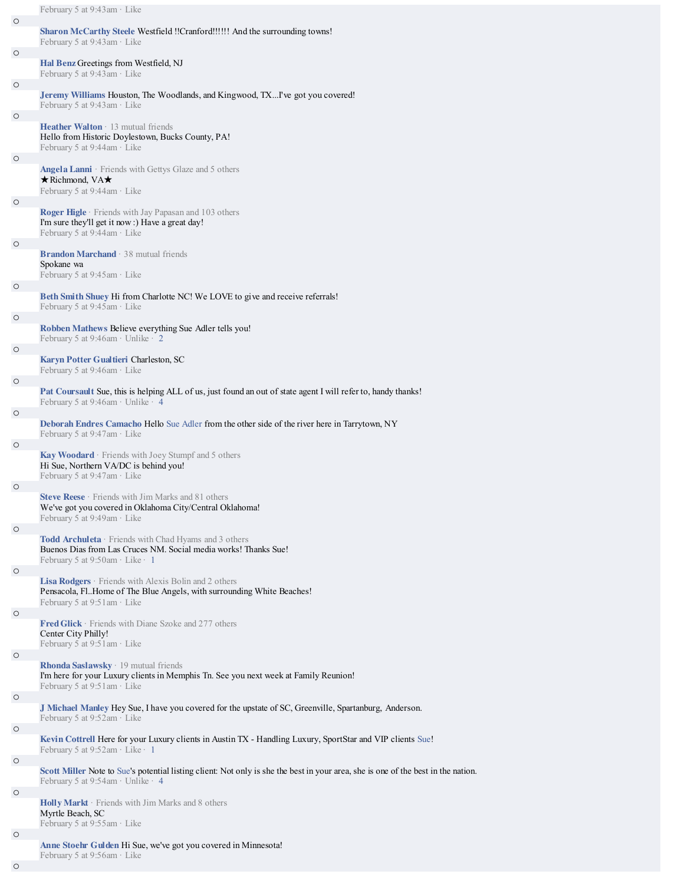|         | February 5 at 9:43am · Like                                                                                                                                                           |
|---------|---------------------------------------------------------------------------------------------------------------------------------------------------------------------------------------|
| $\circ$ |                                                                                                                                                                                       |
|         | Sharon McCarthy Steele Westfield !!Cranford!!!!!! And the surrounding towns!<br>February 5 at 9:43am · Like                                                                           |
| $\circ$ | Hal Benz Greetings from Westfield, NJ                                                                                                                                                 |
|         | February 5 at 9:43am · Like                                                                                                                                                           |
| $\circ$ | Jeremy Williams Houston, The Woodlands, and Kingwood, TX I've got you covered!<br>February 5 at 9:43am · Like                                                                         |
| $\circ$ |                                                                                                                                                                                       |
|         | <b>Heather Walton</b> $\cdot$ 13 mutual friends<br>Hello from Historic Doylestown, Bucks County, PA!<br>February 5 at 9:44am · Like                                                   |
| O       |                                                                                                                                                                                       |
|         | Angela Lanni · Friends with Gettys Glaze and 5 others<br>$\star$ Richmond, VA $\star$<br>February 5 at 9:44am · Like                                                                  |
| $\circ$ |                                                                                                                                                                                       |
|         | <b>Roger Higle</b> Friends with Jay Papasan and 103 others<br>I'm sure they'll get it now:) Have a great day!<br>February 5 at 9:44am · Like                                          |
| $\circ$ |                                                                                                                                                                                       |
|         | <b>Brandon Marchand</b> · 38 mutual friends<br>Spokane wa<br>February 5 at 9:45am · Like                                                                                              |
| $\circ$ |                                                                                                                                                                                       |
|         | Beth Smith Shuey Hi from Charlotte NC! We LOVE to give and receive referrals!<br>February 5 at 9:45am · Like                                                                          |
| O       | Robben Mathews Believe everything Sue Adler tells you!<br>February 5 at 9:46am $\cdot$ Unlike $\cdot$ 2                                                                               |
| $\circ$ |                                                                                                                                                                                       |
|         | Karyn Potter Gualtieri Charleston, SC<br>February 5 at 9:46am · Like                                                                                                                  |
| $\circ$ |                                                                                                                                                                                       |
|         | Pat Coursault Sue, this is helping ALL of us, just found an out of state agent I will refer to, handy thanks!                                                                         |
|         | February 5 at 9:46am · Unlike · 4                                                                                                                                                     |
| $\circ$ |                                                                                                                                                                                       |
|         | Deborah Endres Camacho Hello Sue Adler from the other side of the river here in Tarrytown, NY                                                                                         |
|         | February 5 at $9:47$ am $\cdot$ Like                                                                                                                                                  |
| $\circ$ |                                                                                                                                                                                       |
|         | Kay Woodard · Friends with Joey Stumpf and 5 others<br>Hi Sue, Northern VA/DC is behind you!<br>February 5 at 9:47am · Like                                                           |
| $\circ$ |                                                                                                                                                                                       |
|         | Steve Reese · Friends with Jim Marks and 81 others<br>We've got you covered in Oklahoma City/Central Oklahoma!<br>February 5 at 9:49am · Like                                         |
| $\circ$ |                                                                                                                                                                                       |
|         | Todd Archuleta · Friends with Chad Hyams and 3 others<br>Buenos Dias from Las Cruces NM. Social media works! Thanks Sue!<br>February 5 at $9:50$ am · Like · 1                        |
| $\circ$ |                                                                                                                                                                                       |
|         | <b>Lisa Rodgers</b> $\cdot$ Friends with Alexis Bolin and 2 others<br>Pensacola, Fl. Home of The Blue Angels, with surrounding White Beaches!<br>February 5 at $9:51$ am $\cdot$ Like |
| $\circ$ |                                                                                                                                                                                       |
|         | <b>Fred Glick</b> · Friends with Diane Szoke and 277 others<br>Center City Philly!<br>February 5 at $9:51$ am $\cdot$ Like                                                            |
| $\circ$ |                                                                                                                                                                                       |
|         | <b>Rhonda Saslawsky</b> $\cdot$ 19 mutual friends<br>I'm here for your Luxury clients in Memphis Tn. See you next week at Family Reunion!<br>February 5 at 9:51am · Like              |
| $\circ$ |                                                                                                                                                                                       |
|         | J Michael Manley Hey Sue, I have you covered for the upstate of SC, Greenville, Spartanburg, Anderson.                                                                                |
|         | February 5 at 9:52am · Like                                                                                                                                                           |
| $\circ$ |                                                                                                                                                                                       |
|         | Kevin Cottrell Here for your Luxury clients in Austin TX - Handling Luxury, SportStar and VIP clients Sue!<br>February 5 at $9:52$ am · Like · 1                                      |
| $\circ$ |                                                                                                                                                                                       |
|         | Scott Miller Note to Sue's potential listing client: Not only is she the best in your area, she is one of the best in the nation.<br>February 5 at 9:54am · Unlike · 4                |
| $\circ$ | Holly Markt · Friends with Jim Marks and 8 others                                                                                                                                     |
|         | Myrtle Beach, SC<br>February 5 at 9:55am · Like                                                                                                                                       |
| $\circ$ |                                                                                                                                                                                       |
|         | Anne Stoehr Gulden Hi Sue, we've got you covered in Minnesota!<br>February 5 at 9:56am · Like                                                                                         |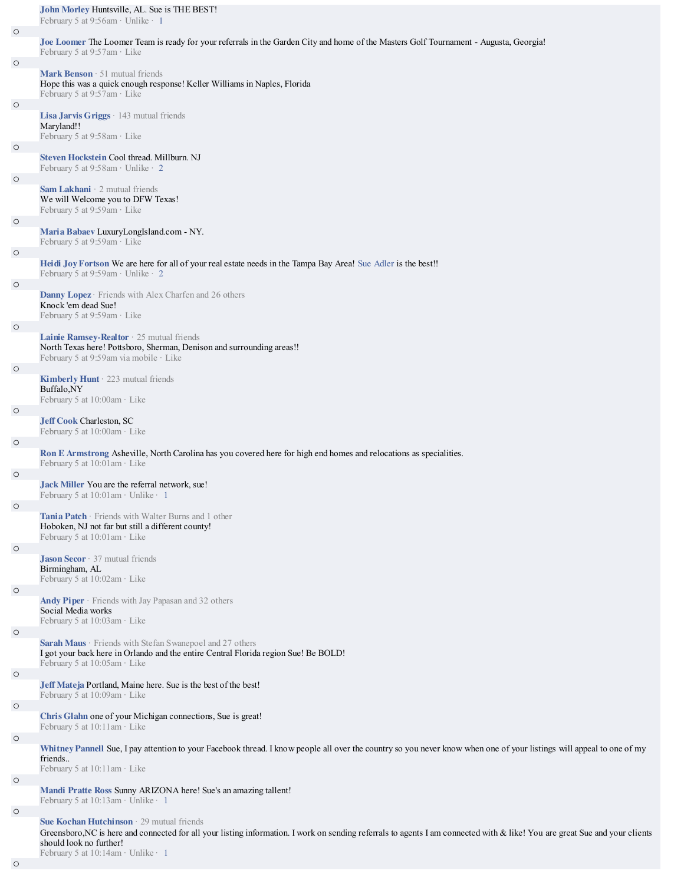|         | John Morley Huntsville, AL. Sue is THE BEST!<br>February 5 at 9:56am · Unlike · 1                                                                                                                                                                   |
|---------|-----------------------------------------------------------------------------------------------------------------------------------------------------------------------------------------------------------------------------------------------------|
| $\circ$ | Joe Loomer The Loomer Team is ready for your referrals in the Garden City and home of the Masters Golf Tournament - Augusta, Georgia!                                                                                                               |
|         | February 5 at 9:57am · Like                                                                                                                                                                                                                         |
| $\circ$ | Mark Benson · 51 mutual friends<br>Hope this was a quick enough response! Keller Williams in Naples, Florida<br>February 5 at 9:57am · Like                                                                                                         |
| $\circ$ |                                                                                                                                                                                                                                                     |
|         | <b>Lisa Jarvis Griggs</b> $\cdot$ 143 mutual friends<br>Maryland!!<br>February 5 at 9:58am · Like                                                                                                                                                   |
| $\circ$ | Steven Hockstein Cool thread. Millburn. NJ<br>February 5 at 9:58am · Unlike · 2                                                                                                                                                                     |
| $\circ$ | Sam Lakhani · 2 mutual friends<br>We will Welcome you to DFW Texas!                                                                                                                                                                                 |
|         | February 5 at 9:59am · Like                                                                                                                                                                                                                         |
| $\circ$ | Maria Babaev LuxuryLongIsland.com - NY.<br>February 5 at 9:59am · Like                                                                                                                                                                              |
| $\circ$ | Heidi Joy Fortson We are here for all of your real estate needs in the Tampa Bay Area! Sue Adler is the best!!<br>February 5 at 9:59am · Unlike · 2                                                                                                 |
| $\circ$ | Danny Lopez · Friends with Alex Charfen and 26 others                                                                                                                                                                                               |
|         | Knock 'em dead Sue!<br>February 5 at 9:59am · Like                                                                                                                                                                                                  |
| $\circ$ | Lainie Ramsey-Realtor 25 mutual friends                                                                                                                                                                                                             |
|         | North Texas here! Pottsboro, Sherman, Denison and surrounding areas!!<br>February 5 at 9:59am via mobile · Like                                                                                                                                     |
| $\circ$ |                                                                                                                                                                                                                                                     |
|         | Kimberly Hunt · 223 mutual friends<br>Buffalo,NY<br>February 5 at 10:00am · Like                                                                                                                                                                    |
| $\circ$ |                                                                                                                                                                                                                                                     |
|         | <b>Jeff Cook Charleston, SC</b><br>February 5 at 10:00am · Like                                                                                                                                                                                     |
| $\circ$ |                                                                                                                                                                                                                                                     |
|         | Ron E Armstrong Asheville, North Carolina has you covered here for high end homes and relocations as specialities.<br>February 5 at 10:01am · Like                                                                                                  |
| $\circ$ | Jack Miller You are the referral network, sue!                                                                                                                                                                                                      |
|         | February 5 at $10:01$ am $\cdot$ Unlike $\cdot$ 1                                                                                                                                                                                                   |
| $\circ$ | Tania Patch · Friends with Walter Burns and 1 other                                                                                                                                                                                                 |
|         | Hoboken, NJ not far but still a different county!<br>February 5 at 10:01am · Like                                                                                                                                                                   |
| $\circ$ | <b>Jason Secor</b> $\cdot$ 37 mutual friends                                                                                                                                                                                                        |
|         | Birmingham, AL<br>February 5 at 10:02am · Like                                                                                                                                                                                                      |
| $\circ$ | Andy Piper · Friends with Jay Papasan and 32 others                                                                                                                                                                                                 |
|         | Social Media works<br>February 5 at 10:03am · Like                                                                                                                                                                                                  |
| $\circ$ | Sarah Maus · Friends with Stefan Swanepoel and 27 others                                                                                                                                                                                            |
|         | I got your back here in Orlando and the entire Central Florida region Sue! Be BOLD!<br>February 5 at 10:05am · Like                                                                                                                                 |
| $\circ$ | Jeff Mateja Portland, Maine here. Sue is the best of the best!                                                                                                                                                                                      |
|         | February 5 at 10:09am · Like                                                                                                                                                                                                                        |
| $\circ$ | Chris Glahn one of your Michigan connections, Sue is great!                                                                                                                                                                                         |
|         | February 5 at 10:11am · Like                                                                                                                                                                                                                        |
| $\circ$ | Whitney Pannell Sue, I pay attention to your Facebook thread. I know people all over the country so you never know when one of your listings will appeal to one of my                                                                               |
|         | friends<br>February 5 at 10:11am · Like                                                                                                                                                                                                             |
| $\circ$ |                                                                                                                                                                                                                                                     |
|         | Mandi Pratte Ross Sunny ARIZONA here! Sue's an amazing tallent!<br>February 5 at 10:13am · Unlike · 1                                                                                                                                               |
| $\circ$ |                                                                                                                                                                                                                                                     |
|         | Sue Kochan Hutchinson · 29 mutual friends<br>Greensboro, NC is here and connected for all your listing information. I work on sending referrals to agents I am connected with & like! You are great Sue and your clients<br>should look no further! |

February 5 at 10:14am · Unlike · 1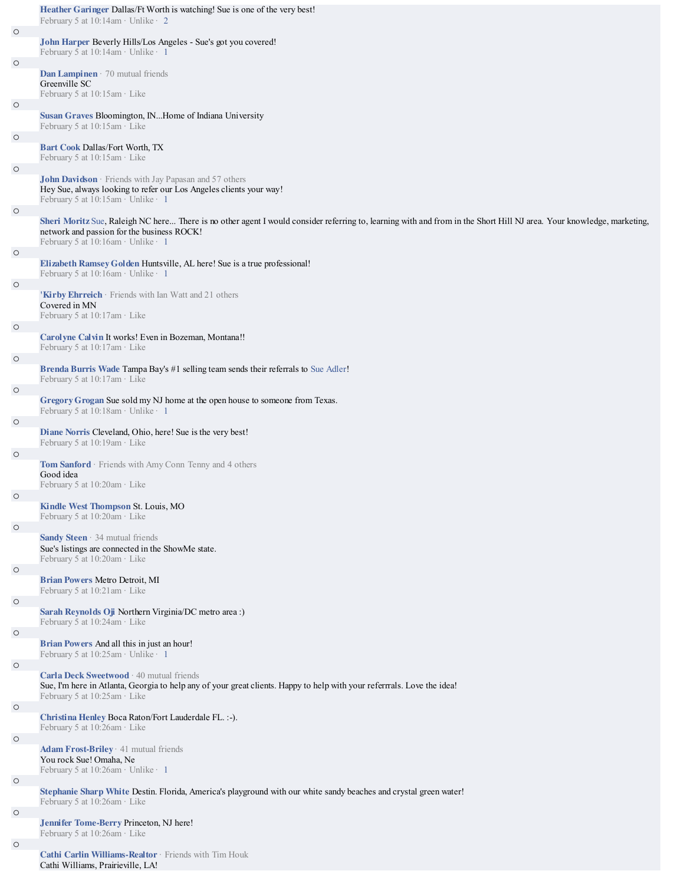|         | Heather Garinger Dallas/Ft Worth is watching! Sue is one of the very best!<br>February 5 at 10:14am · Unlike · 2                                                                                                                                          |
|---------|-----------------------------------------------------------------------------------------------------------------------------------------------------------------------------------------------------------------------------------------------------------|
| $\circ$ |                                                                                                                                                                                                                                                           |
|         | John Harper Beverly Hills/Los Angeles - Sue's got you covered!<br>February 5 at 10:14am · Unlike · 1                                                                                                                                                      |
| $\circ$ |                                                                                                                                                                                                                                                           |
|         | Dan Lampinen · 70 mutual friends<br>Greenville SC                                                                                                                                                                                                         |
| $\circ$ | February 5 at 10:15am · Like                                                                                                                                                                                                                              |
|         | Susan Graves Bloomington, INHome of Indiana University<br>February 5 at 10:15am · Like                                                                                                                                                                    |
| $\circ$ | <b>Bart Cook Dallas/Fort Worth, TX</b>                                                                                                                                                                                                                    |
| $\circ$ | February 5 at 10:15am · Like                                                                                                                                                                                                                              |
|         | <b>John Davidson</b> · Friends with Jay Papasan and 57 others<br>Hey Sue, always looking to refer our Los Angeles clients your way!<br>February 5 at 10:15am · Unlike · 1                                                                                 |
| $\circ$ | Sheri Moritz Sue, Raleigh NC here There is no other agent I would consider referring to, learning with and from in the Short Hill NJ area. Your knowledge, marketing,<br>network and passion for the business ROCK!<br>February 5 at 10:16am · Unlike · 1 |
| $\circ$ |                                                                                                                                                                                                                                                           |
|         | <b>Elizabeth Ramsey Golden Huntsville, AL here! Sue is a true professional!</b><br>February 5 at 10:16am · Unlike · 1                                                                                                                                     |
| O       |                                                                                                                                                                                                                                                           |
|         | 'Kirby Ehrreich · Friends with Ian Watt and 21 others<br>Covered in MN<br>February 5 at $10:17$ am $\cdot$ Like                                                                                                                                           |
| O       |                                                                                                                                                                                                                                                           |
|         | Carolyne Calvin It works! Even in Bozeman, Montana!!<br>February 5 at 10:17am · Like                                                                                                                                                                      |
| O       |                                                                                                                                                                                                                                                           |
|         | <b>Brenda Burris Wade Tampa Bay's #1 selling team sends their referrals to Sue Adler!</b><br>February 5 at 10:17am · Like                                                                                                                                 |
| $\circ$ | Gregory Grogan Sue sold my NJ home at the open house to someone from Texas.                                                                                                                                                                               |
| $\circ$ | February 5 at 10:18am · Unlike · 1                                                                                                                                                                                                                        |
|         | Diane Norris Cleveland, Ohio, here! Sue is the very best!<br>February 5 at 10:19am · Like                                                                                                                                                                 |
| $\circ$ |                                                                                                                                                                                                                                                           |
|         | Tom Sanford · Friends with Amy Conn Tenny and 4 others<br>Good idea                                                                                                                                                                                       |
| O       | February 5 at 10:20am · Like                                                                                                                                                                                                                              |
|         | Kindle West Thompson St. Louis, MO<br>February 5 at 10:20am · Like                                                                                                                                                                                        |
| $\circ$ |                                                                                                                                                                                                                                                           |
|         | Sandy Steen · 34 mutual friends<br>Sue's listings are connected in the ShowMe state.<br>February 5 at 10:20am · Like                                                                                                                                      |
| $\circ$ |                                                                                                                                                                                                                                                           |
| $\circ$ | <b>Brian Powers Metro Detroit, MI</b><br>February 5 at 10:21am · Like                                                                                                                                                                                     |
|         | Sarah Reynolds Oji Northern Virginia/DC metro area:)<br>February 5 at $10:24$ am · Like                                                                                                                                                                   |
| $\circ$ | <b>Brian Powers And all this in just an hour!</b>                                                                                                                                                                                                         |
|         | February 5 at $10:25$ am · Unlike · 1                                                                                                                                                                                                                     |
| $\circ$ | Carla Deck Sweetwood · 40 mutual friends<br>Sue, I'm here in Atlanta, Georgia to help any of your great clients. Happy to help with your referrrals. Love the idea!<br>February 5 at $10:25$ am · Like                                                    |
| $\circ$ | Christina Henley Boca Raton/Fort Lauderdale FL. :- ).                                                                                                                                                                                                     |
| $\circ$ | February 5 at 10:26am · Like                                                                                                                                                                                                                              |
|         | Adam Frost-Briley · 41 mutual friends<br>You rock Sue! Omaha, Ne<br>February 5 at 10:26am · Unlike · 1                                                                                                                                                    |
| $\circ$ | Stephanie Sharp White Destin. Florida, America's playground with our white sandy beaches and crystal green water!<br>February 5 at 10:26am · Like                                                                                                         |
| $\circ$ | Jennifer Tome-Berry Princeton, NJ here!                                                                                                                                                                                                                   |
|         | February 5 at 10:26am · Like                                                                                                                                                                                                                              |
| O       |                                                                                                                                                                                                                                                           |

**Cathi Carlin Williams-Realtor** · Friends with Tim Houk Cathi Williams, Prairieville, LA!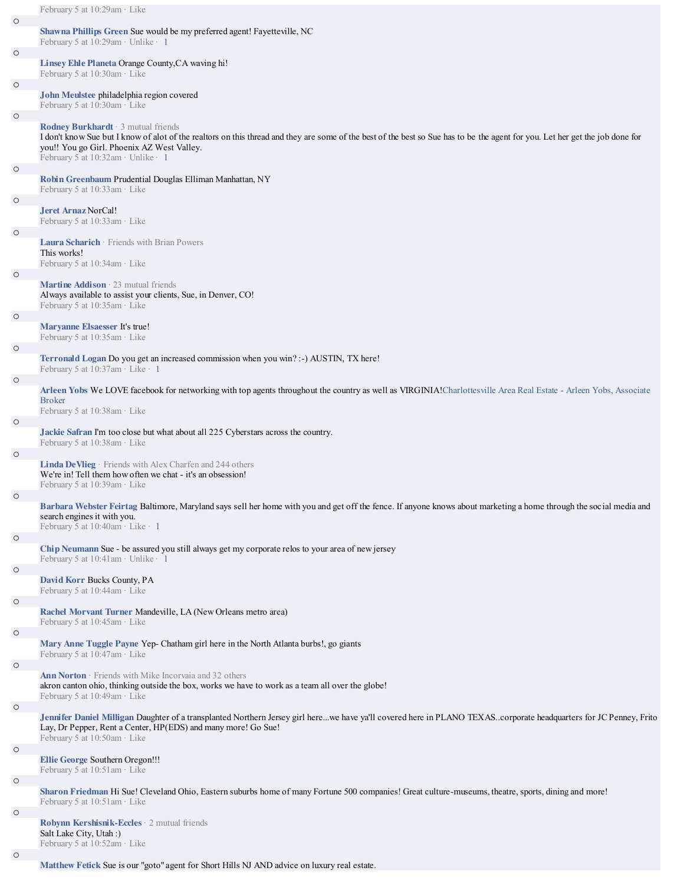|         | February 5 at 10:29am · Like                                                                                                                                                                                         |
|---------|----------------------------------------------------------------------------------------------------------------------------------------------------------------------------------------------------------------------|
| $\circ$ | Shawna Phillips Green Sue would be my preferred agent! Fayetteville, NC                                                                                                                                              |
|         | February 5 at 10:29am · Unlike · 1                                                                                                                                                                                   |
| $\circ$ |                                                                                                                                                                                                                      |
|         | Linsey Ehle Planeta Orange County, CA waving hi!                                                                                                                                                                     |
| O       | February 5 at 10:30am · Like                                                                                                                                                                                         |
|         | John Meulstee philadelphia region covered                                                                                                                                                                            |
|         | February 5 at 10:30am · Like                                                                                                                                                                                         |
| $\circ$ |                                                                                                                                                                                                                      |
|         | Rodney Burkhardt · 3 mutual friends<br>I don't know Sue but I know of alot of the realtors on this thread and they are some of the best of the best so Sue has to be the agent for you. Let her get the job done for |
|         | you!! You go Girl. Phoenix AZ West Valley.                                                                                                                                                                           |
|         | February 5 at $10:32$ am · Unlike · 1                                                                                                                                                                                |
| $\circ$ |                                                                                                                                                                                                                      |
|         | Robin Greenbaum Prudential Douglas Elliman Manhattan, NY                                                                                                                                                             |
| $\circ$ | February 5 at 10:33am · Like                                                                                                                                                                                         |
|         | Jeret Arnaz NorCal!                                                                                                                                                                                                  |
|         | February 5 at 10:33am · Like                                                                                                                                                                                         |
| O       |                                                                                                                                                                                                                      |
|         | Laura Scharich · Friends with Brian Powers<br>This works!                                                                                                                                                            |
|         | February 5 at 10:34am · Like                                                                                                                                                                                         |
| $\circ$ |                                                                                                                                                                                                                      |
|         | <b>Martine Addison</b> $\cdot$ 23 mutual friends<br>Always available to assist your clients, Sue, in Denver, CO!                                                                                                     |
|         | February 5 at 10:35am · Like                                                                                                                                                                                         |
| O       |                                                                                                                                                                                                                      |
|         | Maryanne Elsaesser It's true!                                                                                                                                                                                        |
|         | February 5 at 10:35am · Like                                                                                                                                                                                         |
| $\circ$ | Terronald Logan Do you get an increased commission when you win? :- AUSTIN, TX here!                                                                                                                                 |
|         | February 5 at 10:37am · Like · 1                                                                                                                                                                                     |
| $\circ$ |                                                                                                                                                                                                                      |
|         | Arleen Yobs We LOVE facebook for networking with top agents throughout the country as well as VIRGINIA!Charlottesville Area Real Estate - Arleen Yobs, Associate<br><b>Broker</b>                                    |
|         | February 5 at 10:38am · Like                                                                                                                                                                                         |
| $\circ$ |                                                                                                                                                                                                                      |
|         | Jackie Safran I'm too close but what about all 225 Cyberstars across the country.                                                                                                                                    |
|         | February 5 at 10:38am · Like                                                                                                                                                                                         |
| O       | <b>Linda DeVlieg</b> · Friends with Alex Charfen and 244 others                                                                                                                                                      |
|         | We're in! Tell them how often we chat - it's an obsession!                                                                                                                                                           |
|         | February 5 at 10:39am · Like                                                                                                                                                                                         |
| O       |                                                                                                                                                                                                                      |
|         | Barbara Webster Feirtag Baltimore, Maryland says sell her home with you and get off the fence. If anyone knows about marketing a home through the social media and<br>search engines it with you.                    |
|         | February 5 at $10:40$ am · Like · 1                                                                                                                                                                                  |
| $\circ$ |                                                                                                                                                                                                                      |
|         | Chip Neumann Sue - be assured you still always get my corporate relos to your area of new jersey<br>February 5 at 10:41am · Unlike · 1                                                                               |
| $\circ$ |                                                                                                                                                                                                                      |
|         | <b>David Korr Bucks County, PA</b>                                                                                                                                                                                   |
|         | February 5 at 10:44am · Like                                                                                                                                                                                         |
| $\circ$ | Rachel Morvant Turner Mandeville, LA (New Orleans metro area)                                                                                                                                                        |
|         | February 5 at 10:45am · Like                                                                                                                                                                                         |
| $\circ$ |                                                                                                                                                                                                                      |
|         | Mary Anne Tuggle Payne Yep- Chatham girl here in the North Atlanta burbs!, go giants                                                                                                                                 |
|         | February 5 at $10:47$ am · Like                                                                                                                                                                                      |
| $\circ$ | Ann Norton Friends with Mike Incorvaia and 32 others                                                                                                                                                                 |
|         | akron canton ohio, thinking outside the box, works we have to work as a team all over the globe!                                                                                                                     |
|         | February 5 at 10:49am · Like                                                                                                                                                                                         |
| $\circ$ | Jennifer Daniel Milligan Daughter of a transplanted Northern Jersey girl herewe have ya'll covered here in PLANO TEXAScorporate headquarters for JC Penney, Frito                                                    |
|         | Lay, Dr Pepper, Rent a Center, HP(EDS) and many more! Go Sue!                                                                                                                                                        |
|         | February 5 at 10:50am · Like                                                                                                                                                                                         |
| $\circ$ |                                                                                                                                                                                                                      |
|         | Ellie George Southern Oregon!!!<br>February 5 at $10:51$ am · Like                                                                                                                                                   |
| $\circ$ |                                                                                                                                                                                                                      |
|         | Sharon Friedman Hi Sue! Cleveland Ohio, Eastern suburbs home of many Fortune 500 companies! Great culture-museums, theatre, sports, dining and more!                                                                 |
|         | February 5 at $10:51$ am · Like                                                                                                                                                                                      |
| $\circ$ | Robynn Kershisnik-Eccles · 2 mutual friends                                                                                                                                                                          |
|         | Salt Lake City, Utah:)                                                                                                                                                                                               |
|         | February 5 at 10:52am · Like                                                                                                                                                                                         |
| $\circ$ |                                                                                                                                                                                                                      |

**Matthew Fetick** Sue is our "goto" agent for Short Hills NJ AND advice on luxury real estate.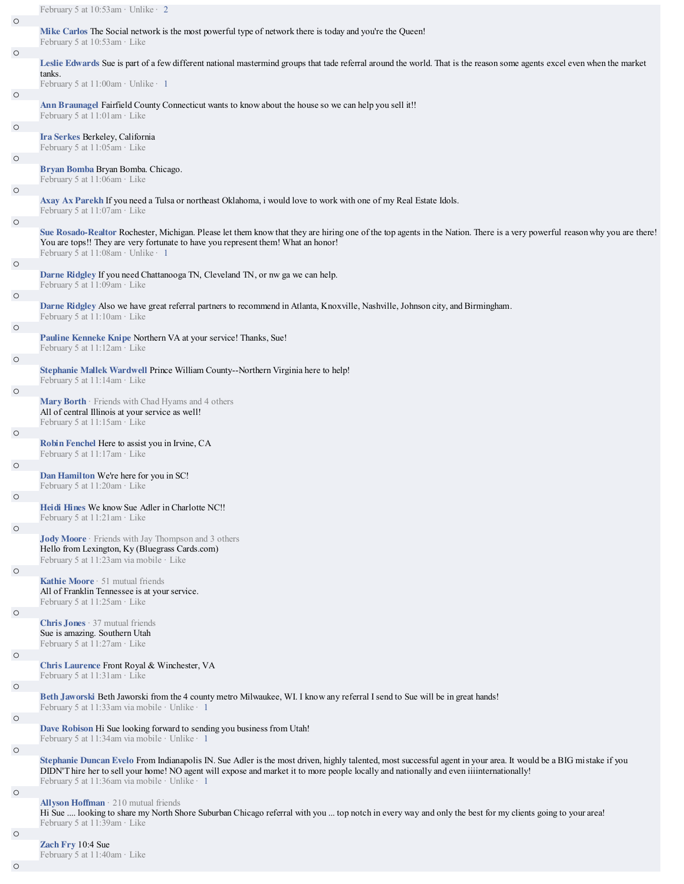|         | February 5 at 10:53am · Unlike · 2                                                                                                                                                                                                                                                                                                                            |
|---------|---------------------------------------------------------------------------------------------------------------------------------------------------------------------------------------------------------------------------------------------------------------------------------------------------------------------------------------------------------------|
| $\circ$ | Mike Carlos The Social network is the most powerful type of network there is today and you're the Queen!<br>February 5 at 10:53am · Like                                                                                                                                                                                                                      |
| $\circ$ | Leslie Edwards Sue is part of a few different national mastermind groups that tade referral around the world. That is the reason some agents excel even when the market<br>tanks.                                                                                                                                                                             |
|         | February 5 at 11:00am · Unlike · 1                                                                                                                                                                                                                                                                                                                            |
| $\circ$ | Ann Braunagel Fairfield County Connecticut wants to know about the house so we can help you sell it!!<br>February 5 at $11:01$ am · Like                                                                                                                                                                                                                      |
| $\circ$ | Ira Serkes Berkeley, California<br>February 5 at 11:05am · Like                                                                                                                                                                                                                                                                                               |
| $\circ$ |                                                                                                                                                                                                                                                                                                                                                               |
| $\circ$ | Bryan Bomba Bryan Bomba. Chicago.<br>February 5 at 11:06am · Like                                                                                                                                                                                                                                                                                             |
|         | Axay Ax Parekh If you need a Tulsa or northeast Oklahoma, i would love to work with one of my Real Estate Idols.<br>February 5 at 11:07am · Like                                                                                                                                                                                                              |
| $\circ$ | Sue Rosado-Realtor Rochester, Michigan. Please let them know that they are hiring one of the top agents in the Nation. There is a very powerful reason why you are there!<br>You are tops!! They are very fortunate to have you represent them! What an honor!<br>February 5 at 11:08am · Unlike · 1                                                          |
| $\circ$ | Darne Ridgley If you need Chattanooga TN, Cleveland TN, or nw ga we can help.<br>February 5 at 11:09am · Like                                                                                                                                                                                                                                                 |
| $\circ$ |                                                                                                                                                                                                                                                                                                                                                               |
|         | Darne Ridgley Also we have great referral partners to recommend in Atlanta, Knoxville, Nashville, Johnson city, and Birmingham.<br>February 5 at 11:10am · Like                                                                                                                                                                                               |
| $\circ$ |                                                                                                                                                                                                                                                                                                                                                               |
|         | Pauline Kenneke Knipe Northern VA at your service! Thanks, Sue!<br>February 5 at 11:12am · Like                                                                                                                                                                                                                                                               |
| $\circ$ | Stephanie Mallek Wardwell Prince William County--Northern Virginia here to help!                                                                                                                                                                                                                                                                              |
|         | February 5 at 11:14am · Like                                                                                                                                                                                                                                                                                                                                  |
| $\circ$ | Mary Borth · Friends with Chad Hyams and 4 others<br>All of central Illinois at your service as well!<br>February 5 at 11:15am · Like                                                                                                                                                                                                                         |
| $\circ$ |                                                                                                                                                                                                                                                                                                                                                               |
|         | Robin Fenchel Here to assist you in Irvine, CA<br>February 5 at 11:17am · Like                                                                                                                                                                                                                                                                                |
| $\circ$ |                                                                                                                                                                                                                                                                                                                                                               |
|         | Dan Hamilton We're here for you in SC!<br>February 5 at 11:20am · Like                                                                                                                                                                                                                                                                                        |
|         | Heidi Hines We know Sue Adler in Charlotte NC!!                                                                                                                                                                                                                                                                                                               |
| $\circ$ | February 5 at $11:21$ am $\cdot$ Like                                                                                                                                                                                                                                                                                                                         |
|         | <b>Jody Moore</b> Friends with Jay Thompson and 3 others<br>Hello from Lexington, Ky (Bluegrass Cards.com)                                                                                                                                                                                                                                                    |
| $\circ$ | February 5 at 11:23am via mobile · Like                                                                                                                                                                                                                                                                                                                       |
|         | Kathie Moore · 51 mutual friends<br>All of Franklin Tennessee is at your service.<br>February 5 at $11:25$ am · Like                                                                                                                                                                                                                                          |
| $\circ$ |                                                                                                                                                                                                                                                                                                                                                               |
|         | <b>Chris Jones</b> $\cdot$ 37 mutual friends<br>Sue is amazing. Southern Utah<br>February 5 at 11:27am · Like                                                                                                                                                                                                                                                 |
| $\circ$ | Chris Laurence Front Royal & Winchester, VA                                                                                                                                                                                                                                                                                                                   |
|         | February 5 at 11:31am · Like                                                                                                                                                                                                                                                                                                                                  |
| $\circ$ | Beth Jaworski Beth Jaworski from the 4 county metro Milwaukee, WI. I know any referral I send to Sue will be in great hands!<br>February 5 at 11:33am via mobile · Unlike · 1                                                                                                                                                                                 |
| $\circ$ |                                                                                                                                                                                                                                                                                                                                                               |
|         | Dave Robison Hi Sue looking forward to sending you business from Utah!<br>February 5 at 11:34am via mobile · Unlike · 1                                                                                                                                                                                                                                       |
| $\circ$ | Stephanie Duncan Evelo From Indianapolis IN. Sue Adler is the most driven, highly talented, most successful agent in your area. It would be a BIG mistake if you<br>DIDN'T hire her to sell your home! NO agent will expose and market it to more people locally and nationally and even iiiinternationally!<br>February 5 at 11:36am via mobile · Unlike · 1 |
| $\circ$ |                                                                                                                                                                                                                                                                                                                                                               |
|         | <b>Allyson Hoffman</b> $\cdot$ 210 mutual friends<br>Hi Sue  looking to share my North Shore Suburban Chicago referral with you  top notch in every way and only the best for my clients going to your area!<br>February 5 at 11:39am · Like                                                                                                                  |
| $\circ$ |                                                                                                                                                                                                                                                                                                                                                               |

**Zach Fry** 10:4 Sue February 5 at 11:40am · Like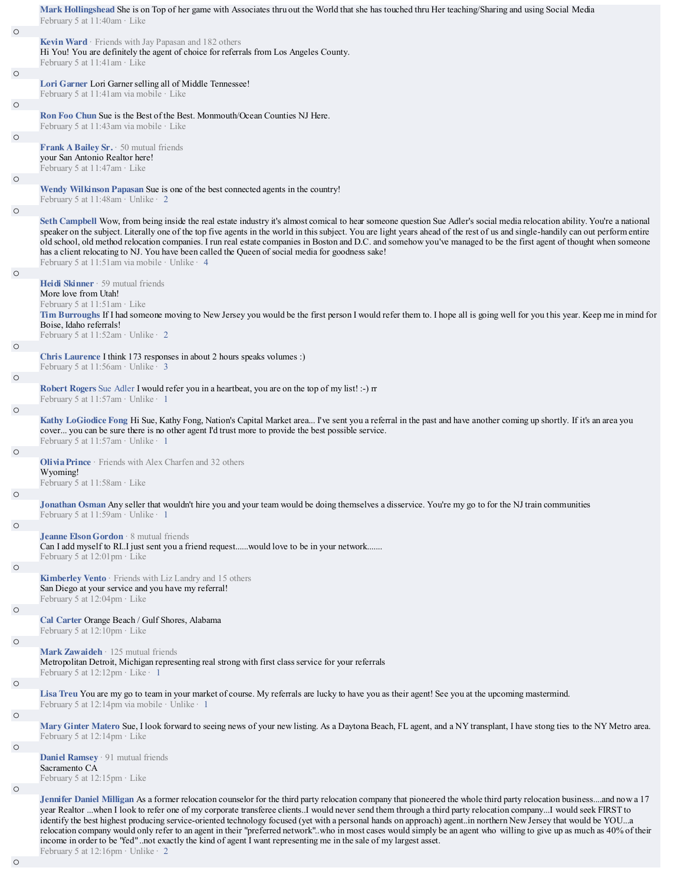|         | Mark Hollingshead She is on Top of her game with Associates thru out the World that she has touched thru Her teaching/Sharing and using Social Media<br>February 5 at 11:40am · Like                                                                                                                                                                                                                                                                                                                                                                                                                                                                                                                                                                                                                     |
|---------|----------------------------------------------------------------------------------------------------------------------------------------------------------------------------------------------------------------------------------------------------------------------------------------------------------------------------------------------------------------------------------------------------------------------------------------------------------------------------------------------------------------------------------------------------------------------------------------------------------------------------------------------------------------------------------------------------------------------------------------------------------------------------------------------------------|
| $\circ$ |                                                                                                                                                                                                                                                                                                                                                                                                                                                                                                                                                                                                                                                                                                                                                                                                          |
|         | Kevin Ward · Friends with Jay Papasan and 182 others<br>Hi You! You are definitely the agent of choice for referrals from Los Angeles County.<br>February 5 at 11:41am · Like                                                                                                                                                                                                                                                                                                                                                                                                                                                                                                                                                                                                                            |
| $\circ$ | Lori Garner Lori Garner selling all of Middle Tennessee!                                                                                                                                                                                                                                                                                                                                                                                                                                                                                                                                                                                                                                                                                                                                                 |
| $\circ$ | February 5 at 11:41 am via mobile · Like                                                                                                                                                                                                                                                                                                                                                                                                                                                                                                                                                                                                                                                                                                                                                                 |
|         | <b>Ron Foo Chun Sue is the Best of the Best. Monmouth/Ocean Counties NJ Here.</b><br>February 5 at 11:43am via mobile · Like                                                                                                                                                                                                                                                                                                                                                                                                                                                                                                                                                                                                                                                                             |
| $\circ$ |                                                                                                                                                                                                                                                                                                                                                                                                                                                                                                                                                                                                                                                                                                                                                                                                          |
|         | <b>Frank A Bailey Sr.</b> $\cdot$ 50 mutual friends<br>your San Antonio Realtor here!<br>February 5 at $11:47$ am $\cdot$ Like                                                                                                                                                                                                                                                                                                                                                                                                                                                                                                                                                                                                                                                                           |
| $\circ$ |                                                                                                                                                                                                                                                                                                                                                                                                                                                                                                                                                                                                                                                                                                                                                                                                          |
| $\circ$ | Wendy Wilkinson Papasan Sue is one of the best connected agents in the country!<br>February 5 at 11:48am · Unlike · 2                                                                                                                                                                                                                                                                                                                                                                                                                                                                                                                                                                                                                                                                                    |
|         | Seth Campbell Wow, from being inside the real estate industry it's almost comical to hear someone question Sue Adler's social media relocation ability. You're a national<br>speaker on the subject. Literally one of the top five agents in the world in this subject. You are light years ahead of the rest of us and single-handily can out perform entire<br>old school, old method relocation companies. I run real estate companies in Boston and D.C. and somehow you've managed to be the first agent of thought when someone<br>has a client relocating to NJ. You have been called the Queen of social media for goodness sake!<br>February 5 at 11:51 am via mobile · Unlike · 4                                                                                                              |
| $\circ$ |                                                                                                                                                                                                                                                                                                                                                                                                                                                                                                                                                                                                                                                                                                                                                                                                          |
|         | <b>Heidi Skinner</b> $\cdot$ 59 mutual friends<br>More love from Utah!<br>February 5 at 11:51am · Like<br>Tim Burroughs If I had someone moving to New Jersey you would be the first person I would refer them to. I hope all is going well for you this year. Keep me in mind for<br>Boise, Idaho referrals!<br>February 5 at $11:52$ am · Unlike · 2                                                                                                                                                                                                                                                                                                                                                                                                                                                   |
| $\circ$ |                                                                                                                                                                                                                                                                                                                                                                                                                                                                                                                                                                                                                                                                                                                                                                                                          |
|         | Chris Laurence I think 173 responses in about 2 hours speaks volumes :)<br>February 5 at 11:56am · Unlike · 3                                                                                                                                                                                                                                                                                                                                                                                                                                                                                                                                                                                                                                                                                            |
| $\circ$ |                                                                                                                                                                                                                                                                                                                                                                                                                                                                                                                                                                                                                                                                                                                                                                                                          |
| $\circ$ | <b>Robert Rogers</b> Sue Adler I would refer you in a heartbeat, you are on the top of my list! :-) m<br>February 5 at 11:57am · Unlike · 1                                                                                                                                                                                                                                                                                                                                                                                                                                                                                                                                                                                                                                                              |
|         | Kathy LoGiodice Fong Hi Sue, Kathy Fong, Nation's Capital Market area I've sent you a referral in the past and have another coming up shortly. If it's an area you<br>cover you can be sure there is no other agent I'd trust more to provide the best possible service.<br>February 5 at 11:57am · Unlike · 1                                                                                                                                                                                                                                                                                                                                                                                                                                                                                           |
| $\circ$ |                                                                                                                                                                                                                                                                                                                                                                                                                                                                                                                                                                                                                                                                                                                                                                                                          |
|         | <b>Olivia Prince</b> $\cdot$ Friends with Alex Charfen and 32 others<br>Wyoming!<br>February 5 at 11:58am · Like                                                                                                                                                                                                                                                                                                                                                                                                                                                                                                                                                                                                                                                                                         |
| $\circ$ |                                                                                                                                                                                                                                                                                                                                                                                                                                                                                                                                                                                                                                                                                                                                                                                                          |
|         | Jonathan Osman Any seller that wouldn't hire you and your team would be doing themselves a disservice. You're my go to for the NJ train communities<br>February 5 at $11:59$ am · Unlike · 1                                                                                                                                                                                                                                                                                                                                                                                                                                                                                                                                                                                                             |
| $\circ$ |                                                                                                                                                                                                                                                                                                                                                                                                                                                                                                                                                                                                                                                                                                                                                                                                          |
|         | Jeanne Elson Gordon · 8 mutual friends<br>Can I add myself to RI. I just sent you a friend requestwould love to be in your network<br>February 5 at $12:01$ pm $\cdot$ Like                                                                                                                                                                                                                                                                                                                                                                                                                                                                                                                                                                                                                              |
| $\circ$ |                                                                                                                                                                                                                                                                                                                                                                                                                                                                                                                                                                                                                                                                                                                                                                                                          |
|         | Kimberley Vento · Friends with Liz Landry and 15 others<br>San Diego at your service and you have my referral!<br>February 5 at $12:04$ pm · Like                                                                                                                                                                                                                                                                                                                                                                                                                                                                                                                                                                                                                                                        |
| $\circ$ |                                                                                                                                                                                                                                                                                                                                                                                                                                                                                                                                                                                                                                                                                                                                                                                                          |
|         | Cal Carter Orange Beach / Gulf Shores, Alabama<br>February 5 at $12:10$ pm $\cdot$ Like                                                                                                                                                                                                                                                                                                                                                                                                                                                                                                                                                                                                                                                                                                                  |
| $\circ$ |                                                                                                                                                                                                                                                                                                                                                                                                                                                                                                                                                                                                                                                                                                                                                                                                          |
|         | Mark Zawaideh · 125 mutual friends<br>Metropolitan Detroit, Michigan representing real strong with first class service for your referrals<br>February 5 at $12:12$ pm · Like · 1                                                                                                                                                                                                                                                                                                                                                                                                                                                                                                                                                                                                                         |
| $\circ$ |                                                                                                                                                                                                                                                                                                                                                                                                                                                                                                                                                                                                                                                                                                                                                                                                          |
|         | Lisa Treu You are my go to team in your market of course. My referrals are lucky to have you as their agent! See you at the upcoming mastermind.                                                                                                                                                                                                                                                                                                                                                                                                                                                                                                                                                                                                                                                         |
| $\circ$ | February 5 at 12:14pm via mobile · Unlike · 1                                                                                                                                                                                                                                                                                                                                                                                                                                                                                                                                                                                                                                                                                                                                                            |
|         | Mary Ginter Matero Sue, I look forward to seeing news of your new listing. As a Daytona Beach, FL agent, and a NY transplant, I have stong ties to the NY Metro area.<br>February 5 at 12:14pm · Like                                                                                                                                                                                                                                                                                                                                                                                                                                                                                                                                                                                                    |
| $\circ$ | Daniel Ramsey · 91 mutual friends<br>Sacramento CA                                                                                                                                                                                                                                                                                                                                                                                                                                                                                                                                                                                                                                                                                                                                                       |
|         | February 5 at $12:15$ pm $\cdot$ Like                                                                                                                                                                                                                                                                                                                                                                                                                                                                                                                                                                                                                                                                                                                                                                    |
| $\circ$ |                                                                                                                                                                                                                                                                                                                                                                                                                                                                                                                                                                                                                                                                                                                                                                                                          |
|         | Jennifer Daniel Milligan As a former relocation counselor for the third party relocation company that pioneered the whole third party relocation businessand now a 17<br>year Realtor when I look to refer one of my corporate transferee clientsI would never send them through a third party relocation companyI would seek FIRST to<br>identify the best highest producing service-oriented technology focused (yet with a personal hands on approach) agentin northern New Jersey that would be YOUa<br>relocation company would only refer to an agent in their "preferred network", who in most cases would simply be an agent who willing to give up as much as 40% of their<br>income in order to be "fed" not exactly the kind of agent I want representing me in the sale of my largest asset. |

February 5 at 12:16pm · Unlike · 2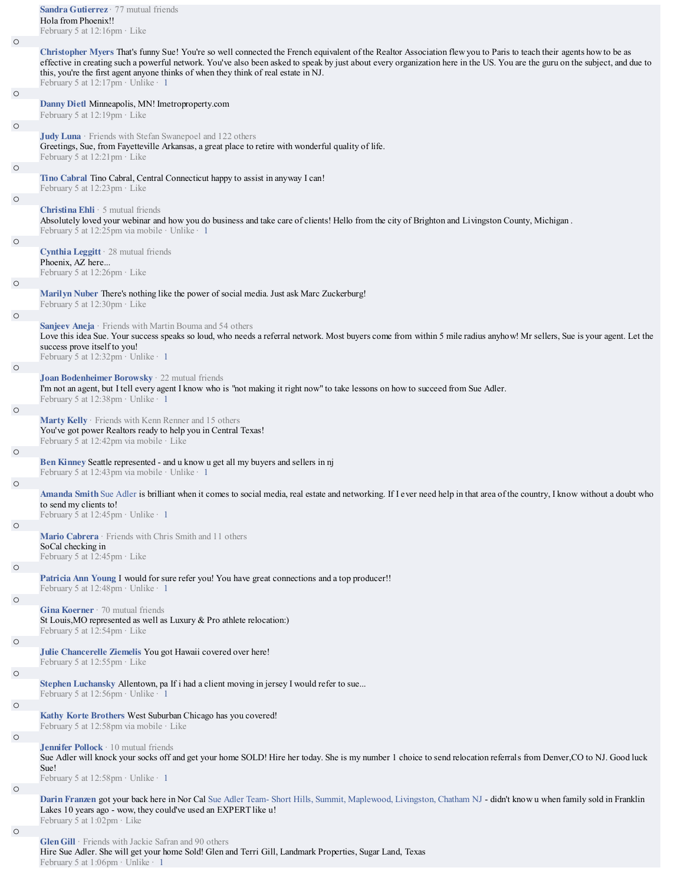|         | <b>Sandra Gutierrez</b> $\cdot$ 77 mutual friends<br>Hola from Phoenix!!<br>February 5 at $12:16$ pm $\cdot$ Like                                                                                                                                                                                                                                                                                                                                                              |
|---------|--------------------------------------------------------------------------------------------------------------------------------------------------------------------------------------------------------------------------------------------------------------------------------------------------------------------------------------------------------------------------------------------------------------------------------------------------------------------------------|
| $\circ$ |                                                                                                                                                                                                                                                                                                                                                                                                                                                                                |
|         | Christopher Myers That's funny Sue! You're so well connected the French equivalent of the Realtor Association flew you to Paris to teach their agents how to be as<br>effective in creating such a powerful network. You've also been asked to speak by just about every organization here in the US. You are the guru on the subject, and due to<br>this, you're the first agent anyone thinks of when they think of real estate in NJ.<br>February 5 at 12:17pm · Unlike · 1 |
| $\circ$ |                                                                                                                                                                                                                                                                                                                                                                                                                                                                                |
|         | Danny Dietl Minneapolis, MN! Imetroproperty.com<br>February 5 at 12:19pm · Like                                                                                                                                                                                                                                                                                                                                                                                                |
| $\circ$ | Judy Luna · Friends with Stefan Swanepoel and 122 others                                                                                                                                                                                                                                                                                                                                                                                                                       |
|         | Greetings, Sue, from Fayetteville Arkansas, a great place to retire with wonderful quality of life.<br>February 5 at 12:21pm · Like                                                                                                                                                                                                                                                                                                                                            |
| $\circ$ | Tino Cabral Tino Cabral, Central Connecticut happy to assist in anyway I can!                                                                                                                                                                                                                                                                                                                                                                                                  |
|         | February 5 at 12:23pm · Like                                                                                                                                                                                                                                                                                                                                                                                                                                                   |
| $\circ$ | <b>Christina Ehli</b> $\cdot$ 5 mutual friends<br>Absolutely loved your webinar and how you do business and take care of clients! Hello from the city of Brighton and Livingston County, Michigan.<br>February 5 at 12:25pm via mobile · Unlike · 1                                                                                                                                                                                                                            |
| $\circ$ |                                                                                                                                                                                                                                                                                                                                                                                                                                                                                |
|         | <b>Cynthia Leggitt</b> $\cdot$ 28 mutual friends<br>Phoenix, AZ here<br>February 5 at 12:26pm · Like                                                                                                                                                                                                                                                                                                                                                                           |
| $\circ$ |                                                                                                                                                                                                                                                                                                                                                                                                                                                                                |
|         | Marilyn Nuber There's nothing like the power of social media. Just ask Marc Zuckerburg!<br>February 5 at 12:30pm · Like                                                                                                                                                                                                                                                                                                                                                        |
| $\circ$ |                                                                                                                                                                                                                                                                                                                                                                                                                                                                                |
|         | Sanjeev Aneja · Friends with Martin Bouma and 54 others<br>Love this idea Sue. Your success speaks so loud, who needs a referral network. Most buyers come from within 5 mile radius anyhow! Mr sellers, Sue is your agent. Let the<br>success prove itself to you!<br>February 5 at 12:32pm · Unlike · 1                                                                                                                                                                      |
| $\circ$ |                                                                                                                                                                                                                                                                                                                                                                                                                                                                                |
|         | Joan Bodenheimer Borowsky · 22 mutual friends<br>I'm not an agent, but I tell every agent I know who is "not making it right now" to take lessons on how to succeed from Sue Adler.<br>February 5 at 12:38pm · Unlike · 1                                                                                                                                                                                                                                                      |
| $\circ$ |                                                                                                                                                                                                                                                                                                                                                                                                                                                                                |
|         | Marty Kelly · Friends with Kenn Renner and 15 others<br>You've got power Realtors ready to help you in Central Texas!<br>February 5 at 12:42pm via mobile · Like                                                                                                                                                                                                                                                                                                               |
| $\circ$ |                                                                                                                                                                                                                                                                                                                                                                                                                                                                                |
|         | Ben Kinney Seattle represented - and u know u get all my buyers and sellers in nj<br>February 5 at 12:43pm via mobile · Unlike · 1                                                                                                                                                                                                                                                                                                                                             |
| $\circ$ |                                                                                                                                                                                                                                                                                                                                                                                                                                                                                |
|         | Amanda Smith Sue Adler is brilliant when it comes to social media, real estate and networking. If I ever need help in that area of the country, I know without a doubt who<br>to send my clients to!<br>February 5 at 12:45pm · Unlike · 1                                                                                                                                                                                                                                     |
| $\circ$ |                                                                                                                                                                                                                                                                                                                                                                                                                                                                                |
|         | Mario Cabrera · Friends with Chris Smith and 11 others<br>SoCal checking in                                                                                                                                                                                                                                                                                                                                                                                                    |
|         | February 5 at 12:45pm · Like                                                                                                                                                                                                                                                                                                                                                                                                                                                   |
| $\circ$ | Patricia Ann Young I would for sure refer you! You have great connections and a top producer!!<br>February 5 at 12:48pm · Unlike · 1                                                                                                                                                                                                                                                                                                                                           |
| $\circ$ |                                                                                                                                                                                                                                                                                                                                                                                                                                                                                |
|         | <b>Gina Koerner</b> $\cdot$ 70 mutual friends<br>St Louis, MO represented as well as Luxury & Pro athlete relocation:)<br>February 5 at 12:54pm · Like                                                                                                                                                                                                                                                                                                                         |
| $\circ$ |                                                                                                                                                                                                                                                                                                                                                                                                                                                                                |
|         | Julie Chancerelle Ziemelis You got Hawaii covered over here!<br>February 5 at 12:55pm · Like                                                                                                                                                                                                                                                                                                                                                                                   |
| $\circ$ |                                                                                                                                                                                                                                                                                                                                                                                                                                                                                |
| $\circ$ | Stephen Luchansky Allentown, pa If i had a client moving in jersey I would refer to sue<br>February 5 at 12:56pm · Unlike · 1                                                                                                                                                                                                                                                                                                                                                  |
|         | Kathy Korte Brothers West Suburban Chicago has you covered!<br>February 5 at 12:58pm via mobile · Like                                                                                                                                                                                                                                                                                                                                                                         |
| $\circ$ |                                                                                                                                                                                                                                                                                                                                                                                                                                                                                |
|         | Jennifer Pollock · 10 mutual friends<br>Sue Adler will knock your socks off and get your home SOLD! Hire her today. She is my number 1 choice to send relocation referrals from Denver, CO to NJ. Good luck<br>Sue!<br>February 5 at $12:58$ pm · Unlike · 1                                                                                                                                                                                                                   |
| $\circ$ |                                                                                                                                                                                                                                                                                                                                                                                                                                                                                |
|         | Darin Franzen got your back here in Nor Cal Sue Adler Team-Short Hills, Summit, Maplewood, Livingston, Chatham NJ - didn't know u when family sold in Franklin<br>Lakes 10 years ago - wow, they could've used an EXPERT like u!<br>February 5 at 1:02pm · Like                                                                                                                                                                                                                |
| $\circ$ |                                                                                                                                                                                                                                                                                                                                                                                                                                                                                |

**Glen Gill** · Friends with Jackie Safran and 90 others Hire Sue Adler. She will get your home Sold! Glen and Terri Gill, Landmark Properties, Sugar Land, Texas February 5 at 1:06pm · Unlike · 1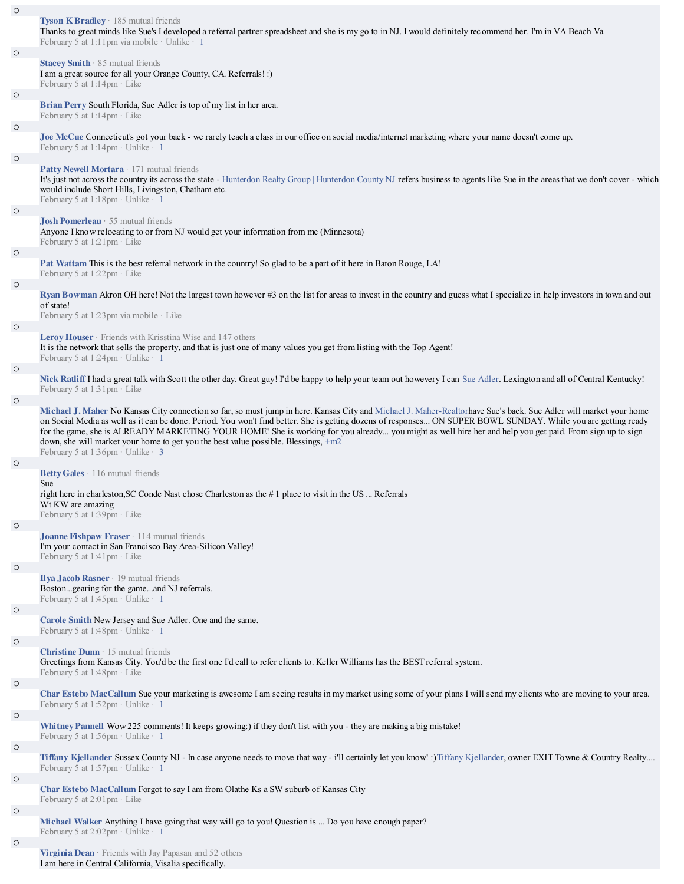| $\circ$ |                                                                                                                                                                                                                                                                                                                                                                                                                                                                                                                                                                                                                           |
|---------|---------------------------------------------------------------------------------------------------------------------------------------------------------------------------------------------------------------------------------------------------------------------------------------------------------------------------------------------------------------------------------------------------------------------------------------------------------------------------------------------------------------------------------------------------------------------------------------------------------------------------|
|         | Tyson K Bradley · 185 mutual friends<br>Thanks to great minds like Sue's I developed a referral partner spreadsheet and she is my go to in NJ. I would definitely recommend her. I'm in VA Beach Va<br>February 5 at 1:11pm via mobile · Unlike · 1                                                                                                                                                                                                                                                                                                                                                                       |
| $\circ$ |                                                                                                                                                                                                                                                                                                                                                                                                                                                                                                                                                                                                                           |
|         | Stacey Smith · 85 mutual friends<br>I am a great source for all your Orange County, CA. Referrals! :)<br>February 5 at 1:14pm · Like                                                                                                                                                                                                                                                                                                                                                                                                                                                                                      |
| $\circ$ |                                                                                                                                                                                                                                                                                                                                                                                                                                                                                                                                                                                                                           |
|         | Brian Perry South Florida, Sue Adler is top of my list in her area.<br>February 5 at 1:14pm · Like                                                                                                                                                                                                                                                                                                                                                                                                                                                                                                                        |
| $\circ$ |                                                                                                                                                                                                                                                                                                                                                                                                                                                                                                                                                                                                                           |
|         | Joe McCue Connecticut's got your back - we rarely teach a class in our office on social media/internet marketing where your name doesn't come up.<br>February 5 at 1:14pm · Unlike · 1                                                                                                                                                                                                                                                                                                                                                                                                                                    |
| $\circ$ |                                                                                                                                                                                                                                                                                                                                                                                                                                                                                                                                                                                                                           |
|         | Patty Newell Mortara · 171 mutual friends<br>It's just not across the country its across the state - Hunterdon Realty Group   Hunterdon County NJ refers business to agents like Sue in the areas that we don't cover - which<br>would include Short Hills, Livingston, Chatham etc.<br>February 5 at 1:18pm · Unlike · 1                                                                                                                                                                                                                                                                                                 |
| $\circ$ |                                                                                                                                                                                                                                                                                                                                                                                                                                                                                                                                                                                                                           |
|         | Josh Pomerleau · 55 mutual friends<br>Anyone I know relocating to or from NJ would get your information from me (Minnesota)<br>February 5 at 1:21pm · Like                                                                                                                                                                                                                                                                                                                                                                                                                                                                |
| $\circ$ |                                                                                                                                                                                                                                                                                                                                                                                                                                                                                                                                                                                                                           |
|         | Pat Wattam This is the best referral network in the country! So glad to be a part of it here in Baton Rouge, LA!<br>February 5 at 1:22pm · Like                                                                                                                                                                                                                                                                                                                                                                                                                                                                           |
| $\circ$ |                                                                                                                                                                                                                                                                                                                                                                                                                                                                                                                                                                                                                           |
|         | Ryan Bowman Akron OH here! Not the largest town however #3 on the list for areas to invest in the country and guess what I specialize in help investors in town and out<br>of state!<br>February 5 at 1:23pm via mobile $\cdot$ Like                                                                                                                                                                                                                                                                                                                                                                                      |
| $\circ$ |                                                                                                                                                                                                                                                                                                                                                                                                                                                                                                                                                                                                                           |
|         | <b>Leroy Houser</b> $\cdot$ Friends with Krisstina Wise and 147 others<br>It is the network that sells the property, and that is just one of many values you get from listing with the Top Agent!<br>February 5 at 1:24pm · Unlike · 1                                                                                                                                                                                                                                                                                                                                                                                    |
|         |                                                                                                                                                                                                                                                                                                                                                                                                                                                                                                                                                                                                                           |
| $\circ$ |                                                                                                                                                                                                                                                                                                                                                                                                                                                                                                                                                                                                                           |
| $\circ$ | Nick Ratliff I had a great talk with Scott the other day. Great guy! I'd be happy to help your team out howevery I can Sue Adler. Lexington and all of Central Kentucky!<br>February 5 at 1:31pm · Like                                                                                                                                                                                                                                                                                                                                                                                                                   |
|         | Michael J. Maher No Kansas City connection so far, so must jump in here. Kansas City and Michael J. Maher-Realtorhave Sue's back. Sue Adler will market your home<br>on Social Media as well as it can be done. Period. You won't find better. She is getting dozens of responses ON SUPER BOWL SUNDAY. While you are getting ready<br>for the game, she is ALREADY MARKETING YOUR HOME! She is working for you already you might as well hire her and help you get paid. From sign up to sign<br>down, she will market your home to get you the best value possible. Blessings, +m2<br>February 5 at 1:36pm · Unlike · 3 |
|         |                                                                                                                                                                                                                                                                                                                                                                                                                                                                                                                                                                                                                           |
| $\circ$ | Betty Gales · 116 mutual friends                                                                                                                                                                                                                                                                                                                                                                                                                                                                                                                                                                                          |
|         | Sue<br>right here in charleston, SC Conde Nast chose Charleston as the #1 place to visit in the US  Referrals<br>Wt KW are amazing                                                                                                                                                                                                                                                                                                                                                                                                                                                                                        |
| $\circ$ | February 5 at 1:39pm · Like                                                                                                                                                                                                                                                                                                                                                                                                                                                                                                                                                                                               |
|         | Joanne Fishpaw Fraser · 114 mutual friends<br>I'm your contact in San Francisco Bay Area-Silicon Valley!<br>February 5 at 1:41pm · Like                                                                                                                                                                                                                                                                                                                                                                                                                                                                                   |
| $\circ$ | Ilya Jacob Rasner · 19 mutual friends<br>Bostongearing for the gameand NJ referrals.                                                                                                                                                                                                                                                                                                                                                                                                                                                                                                                                      |
|         | February 5 at 1:45pm · Unlike · 1                                                                                                                                                                                                                                                                                                                                                                                                                                                                                                                                                                                         |
| $\circ$ | Carole Smith New Jersey and Sue Adler. One and the same.<br>February 5 at 1:48pm $\cdot$ Unlike $\cdot$ 1                                                                                                                                                                                                                                                                                                                                                                                                                                                                                                                 |
| $\circ$ |                                                                                                                                                                                                                                                                                                                                                                                                                                                                                                                                                                                                                           |
|         | <b>Christine Dunn</b> $\cdot$ 15 mutual friends<br>Greetings from Kansas City. You'd be the first one I'd call to refer clients to. Keller Williams has the BEST referral system.<br>February 5 at $1:48$ pm $\cdot$ Like                                                                                                                                                                                                                                                                                                                                                                                                 |
| $\circ$ |                                                                                                                                                                                                                                                                                                                                                                                                                                                                                                                                                                                                                           |
|         | Char Estebo MacCallum Sue your marketing is awesome I am seeing results in my market using some of your plans I will send my clients who are moving to your area.<br>February 5 at 1:52pm · Unlike · 1                                                                                                                                                                                                                                                                                                                                                                                                                    |
| $\circ$ |                                                                                                                                                                                                                                                                                                                                                                                                                                                                                                                                                                                                                           |
|         | Whitney Pannell Wow 225 comments! It keeps growing:) if they don't list with you - they are making a big mistake!<br>February 5 at 1:56pm $\cdot$ Unlike $\cdot$ 1                                                                                                                                                                                                                                                                                                                                                                                                                                                        |
| $\circ$ |                                                                                                                                                                                                                                                                                                                                                                                                                                                                                                                                                                                                                           |
|         | Tiffany Kjellander Sussex County NJ - In case anyone needs to move that way - i'll certainly let you know! :) Tiffany Kjellander, owner EXIT Towne & Country Realty<br>February 5 at 1:57pm · Unlike · 1                                                                                                                                                                                                                                                                                                                                                                                                                  |
| $\circ$ |                                                                                                                                                                                                                                                                                                                                                                                                                                                                                                                                                                                                                           |
|         | Char Estebo MacCallum Forgot to say I am from Olathe Ks a SW suburb of Kansas City<br>February 5 at $2:01$ pm $\cdot$ Like                                                                                                                                                                                                                                                                                                                                                                                                                                                                                                |
| $\circ$ | Michael Walker Anything I have going that way will go to you! Question is  Do you have enough paper?<br>February 5 at 2:02pm · Unlike · 1                                                                                                                                                                                                                                                                                                                                                                                                                                                                                 |
| $\circ$ | <b>Virginia Dean</b> $\cdot$ Friends with Jay Papasan and 52 others<br>I am here in Central California, Visalia specifically.                                                                                                                                                                                                                                                                                                                                                                                                                                                                                             |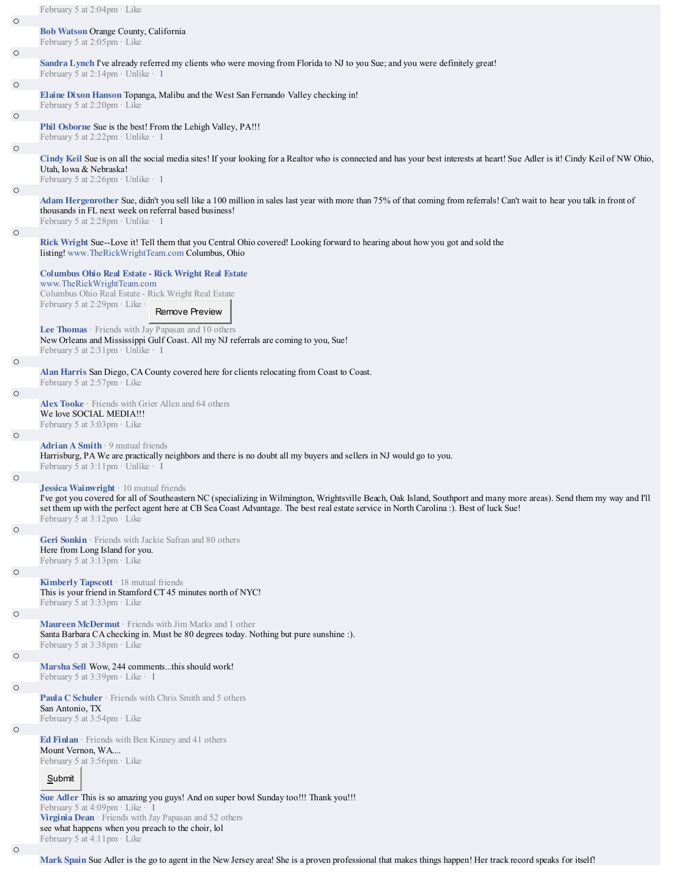|         | February 5 at 2:04pm · Like                                                                                                                                                                                                                                                                                                                               |
|---------|-----------------------------------------------------------------------------------------------------------------------------------------------------------------------------------------------------------------------------------------------------------------------------------------------------------------------------------------------------------|
| $\circ$ |                                                                                                                                                                                                                                                                                                                                                           |
|         | <b>Bob Watson Orange County, California</b><br>February 5 at 2:05pm · Like                                                                                                                                                                                                                                                                                |
| $\circ$ | Sandra Lynch I've already referred my clients who were moving from Florida to NJ to you Sue; and you were definitely great!                                                                                                                                                                                                                               |
|         | February 5 at $2:14$ pm · Unlike · 1                                                                                                                                                                                                                                                                                                                      |
| $\circ$ | Elaine Dixon Hanson Topanga, Malibu and the West San Fernando Valley checking in!                                                                                                                                                                                                                                                                         |
|         | February 5 at 2:20pm · Like                                                                                                                                                                                                                                                                                                                               |
| $\circ$ |                                                                                                                                                                                                                                                                                                                                                           |
|         | Phil Osborne Sue is the best! From the Lehigh Valley, PA!!!<br>February 5 at 2:22pm · Unlike · 1                                                                                                                                                                                                                                                          |
| $\circ$ |                                                                                                                                                                                                                                                                                                                                                           |
|         | Cindy Keil Sue is on all the social media sites! If your looking for a Realtor who is connected and has your best interests at heart! Sue Adler is it! Cindy Keil of NW Ohio,<br>Utah, Io wa & Nebraska!<br>February 5 at 2:26pm · Unlike · 1                                                                                                             |
| $\circ$ |                                                                                                                                                                                                                                                                                                                                                           |
|         | Adam Hergenrother Sue, didn't you sell like a 100 million in sales last year with more than 75% of that coming from referrals! Can't wait to hear you talk in front of<br>thousands in FL next week on referral based business!<br>February 5 at 2:28pm · Unlike · 1                                                                                      |
| $\circ$ | Rick Wright Sue--Love it! Tell them that you Central Ohio covered! Looking forward to hearing about how you got and sold the<br>listing! www.TheRickWrightTeam.com Columbus, Ohio                                                                                                                                                                         |
|         | <b>Columbus Ohio Real Estate - Rick Wright Real Estate</b>                                                                                                                                                                                                                                                                                                |
|         | www.TheRickWrightTeam.com<br>Columbus Ohio Real Estate - Rick Wright Real Estate                                                                                                                                                                                                                                                                          |
|         | February 5 at 2:29pm · Like ·                                                                                                                                                                                                                                                                                                                             |
|         | Remove Preview                                                                                                                                                                                                                                                                                                                                            |
|         | Lee Thomas · Friends with Jay Papasan and 10 others<br>New Orleans and Mississippi Gulf Coast. All my NJ referrals are coming to you, Sue!                                                                                                                                                                                                                |
|         | February 5 at $2:31$ pm · Unlike · 1                                                                                                                                                                                                                                                                                                                      |
| $\circ$ | Alan Harris San Diego, CA County covered here for clients relocating from Coast to Coast.                                                                                                                                                                                                                                                                 |
|         | February 5 at $2:57$ pm $\cdot$ Like                                                                                                                                                                                                                                                                                                                      |
| $\circ$ |                                                                                                                                                                                                                                                                                                                                                           |
|         | Alex Tooke · Friends with Grier Allen and 64 others<br>We love SOCIAL MEDIA!!!<br>February 5 at $3:03$ pm $\cdot$ Like                                                                                                                                                                                                                                    |
| $\circ$ |                                                                                                                                                                                                                                                                                                                                                           |
|         | <b>Adrian A Smith</b> $\cdot$ 9 mutual friends<br>Harrisburg, PA We are practically neighbors and there is no doubt all my buyers and sellers in NJ would go to you.<br>February 5 at $3:11$ pm · Unlike · 1                                                                                                                                              |
| $\circ$ | <b>Jessica Wainwright</b> $\cdot$ 10 mutual friends                                                                                                                                                                                                                                                                                                       |
|         | I've got you covered for all of Southeastern NC (specializing in Wilmington, Wrightsville Beach, Oak Island, Southport and many more areas). Send them my way and I'll<br>set them up with the perfect agent here at CB Sea Coast Advantage. The best real estate service in North Carolina :). Best of luck Sue!<br>February 5 at $3:12$ pm $\cdot$ Like |
| $\circ$ | Geri Sonkin · Friends with Jackie Safran and 80 others                                                                                                                                                                                                                                                                                                    |
|         | Here from Long Island for you.<br>February 5 at 3:13pm · Like                                                                                                                                                                                                                                                                                             |
| $\circ$ | Kimberly Tapscott · 18 mutual friends                                                                                                                                                                                                                                                                                                                     |
|         | This is your friend in Stamford CT 45 minutes north of NYC!<br>February 5 at 3:33pm · Like                                                                                                                                                                                                                                                                |
| $\circ$ | Maureen McDermut · Friends with Jim Marks and 1 other                                                                                                                                                                                                                                                                                                     |
|         | Santa Barbara CA checking in. Must be 80 degrees today. Nothing but pure sunshine :).<br>February 5 at 3:38pm · Like                                                                                                                                                                                                                                      |
| $\circ$ | Marsha Sell Wow, 244 commentsthis should work!<br>February 5 at $3:39$ pm · Like · 1                                                                                                                                                                                                                                                                      |
| $\circ$ |                                                                                                                                                                                                                                                                                                                                                           |
|         | <b>Paula C Schuler</b> · Friends with Chris Smith and 5 others<br>San Antonio, TX<br>February 5 at 3:54pm · Like                                                                                                                                                                                                                                          |
| $\circ$ |                                                                                                                                                                                                                                                                                                                                                           |
|         | Ed Finlan · Friends with Ben Kinney and 41 others<br>Mount Vernon, WA<br>February 5 at 3:56pm · Like                                                                                                                                                                                                                                                      |
|         | Submit                                                                                                                                                                                                                                                                                                                                                    |
|         | Sue Adler This is so amazing you guys! And on super bowl Sunday too!!! Thank you!!!                                                                                                                                                                                                                                                                       |
|         | February 5 at 4:09pm $\cdot$ Like $\cdot$ 1<br>Virginia Dean · Friends with Jay Papasan and 52 others<br>see what happens when you preach to the choir, lol                                                                                                                                                                                               |
|         | February 5 at $4:11$ pm $\cdot$ Like                                                                                                                                                                                                                                                                                                                      |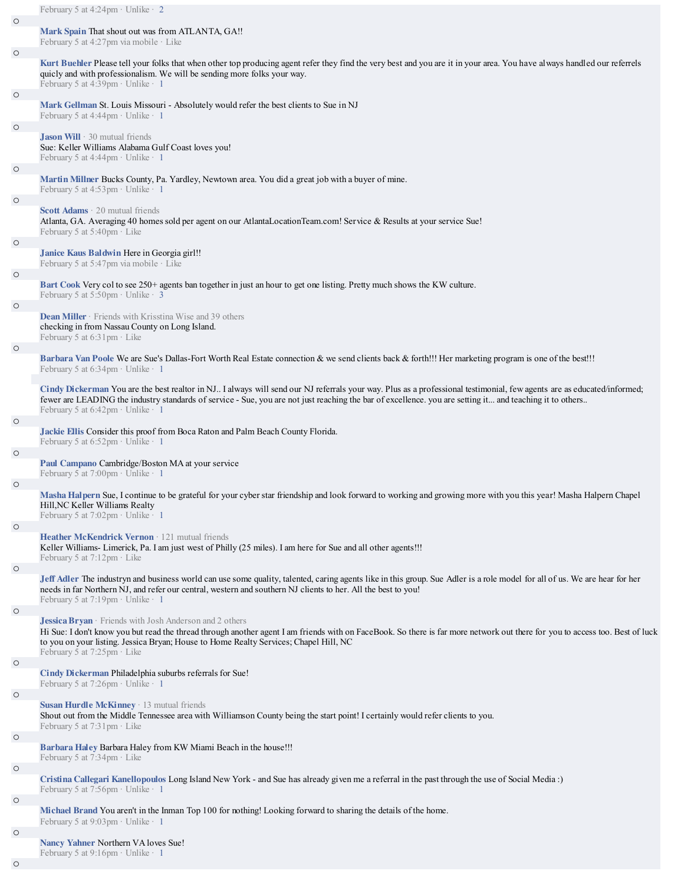## **Mark Spain** That shout out was from ATLANTA, GA!!

February 5 at 4:27pm via mobile · Like

**Kurt Buehler** Please tell your folks that when other top producing agent refer they find the very best and you are it in your area. You have always handled our referrels quicly and with professionalism. We will be sending more folks your way.

February 5 at  $4:39$ pm · Unlike · 1 o

**Mark Gellman** St. Louis Missouri - Absolutely would refer the best clients to Sue in NJ

February 5 at 4:44pm · Unlike · 1

### **Jason Will** · 30 mutual friends

Sue: Keller Williams Alabama Gulf Coast loves you! February 5 at 4:44pm · Unlike · 1

o

o

o

o

o

o

# **Martin Millner** Bucks County, Pa. Yardley, Newtown area. You did a great job with a buyer of mine.

February 5 at  $4:53$ pm · Unlike · 1

#### **Scott Adams** · 20 mutual friends

Atlanta, GA. Averaging 40 homes sold per agent on our AtlantaLocationTeam.com! Service & Results at your service Sue! February 5 at 5:40pm · Like

# **Janice Kaus Baldwin** Here in Georgia girl!!

February 5 at 5:47pm via mobile · Like

# o

o

o

o

o

o

o

o

**Bart Cook** Very col to see 250+ agents ban together in just an hour to get one listing. Pretty much shows the KW culture.

February 5 at  $5:50$ pm · Unlike · 3

### **Dean Miller** · Friends with Krisstina Wise and 39 others checking in from Nassau County on Long Island. February 5 at 6:31pm · Like

**Barbara Van Poole** We are Sue's Dallas-Fort Worth Real Estate connection & we send clients back & forth!!! Her marketing program is one of the best!!! February 5 at 6:34pm · Unlike · 1

**Cindy Dickerman** You are the best realtor in NJ.. I always will send our NJ referrals your way. Plus as a professional testimonial, few agents are as educated/informed; fewer are LEADING the industry standards of service - Sue, you are not just reaching the bar of excellence. you are setting it... and teaching it to others.. February 5 at 6:42pm · Unlike · 1

# **Jackie Ellis** Consider this proof from Boca Raton and Palm Beach County Florida.

February 5 at 6:52pm · Unlike · 1

#### **Paul Campano** Cambridge/Boston MA at your service

February 5 at 7:00pm · Unlike · 1

# **Masha Halpern** Sue, I continue to be grateful for your cyber star friendship and look forward to working and growing more with you this year! Masha Halpern Chapel Hill,NC Keller Williams Realty

February 5 at 7:02pm · Unlike · 1

# **Heather McKendrick Vernon** · 121 mutual friends

Keller Williams- Limerick, Pa. I am just west of Philly (25 miles). I am here for Sue and all other agents!!! February 5 at 7:12pm · Like

**Jeff Adler** The industryn and business world can use some quality, talented, caring agents like in this group. Sue Adler is a role model for all of us. We are hear for her needs in far Northern NJ, and refer our central, western and southern NJ clients to her. All the best to you! February 5 at 7:19pm · Unlike · 1

#### o

o

o

o

**Jessica Bryan** · Friends with Josh Anderson and 2 others

Hi Sue: I don't know you but read the thread through another agent I am friends with on FaceBook. So there is far more network out there for you to access too. Best of luck to you on your listing. Jessica Bryan; House to Home Realty Services; Chapel Hill, NC February 5 at 7:25pm · Like

**Cindy Dickerman** Philadelphia suburbs referrals for Sue! February 5 at 7:26pm · Unlike · 1

o

## **Susan Hurdle McKinney** · 13 mutual friends

Shout out from the Middle Tennessee area with Williamson County being the start point! I certainly would refer clients to you. February 5 at  $7:31$ pm  $\cdot$  Like

# **Barbara Haley** Barbara Haley from KW Miami Beach in the house!!!

February 5 at 7:34pm · Like

## **Cristina Callegari Kanellopoulos** Long Island New York - and Sue has already given me a referral in the past through the use of Social Media :) February 5 at 7:56pm · Unlike · 1

o

**Michael Brand** You aren't in the Inman Top 100 for nothing! Looking forward to sharing the details of the home.

February 5 at 9:03pm · Unlike · 1

## **Nancy Yahner** Northern VA loves Sue!

February 5 at 9:16pm · Unlike · 1

o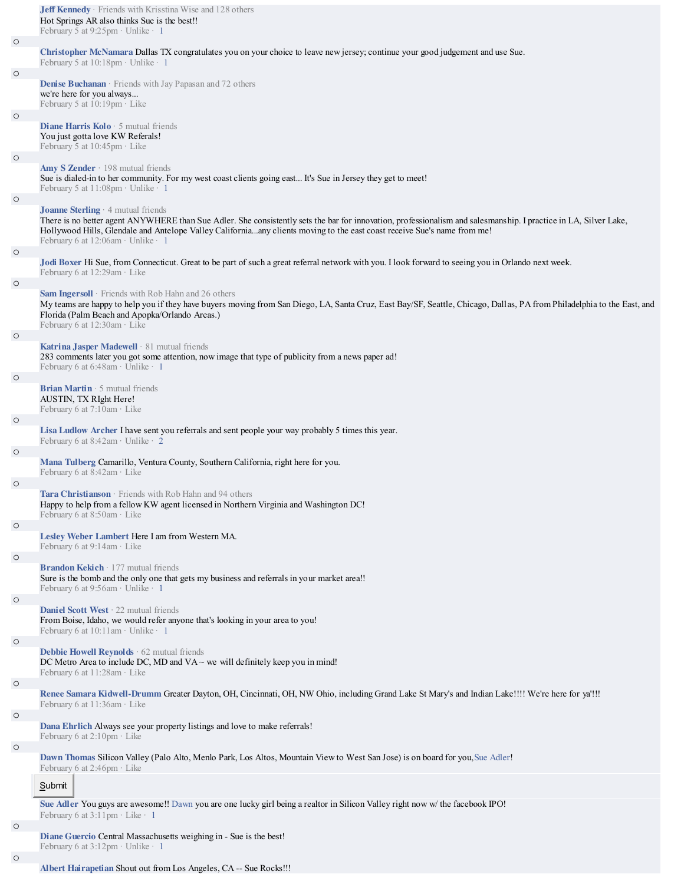|                    | Jeff Kennedy · Friends with Krisstina Wise and 128 others<br>Hot Springs AR also thinks Sue is the best!!<br>February 5 at 9:25pm · Unlike · 1                                                                                                                                                                                                                           |
|--------------------|--------------------------------------------------------------------------------------------------------------------------------------------------------------------------------------------------------------------------------------------------------------------------------------------------------------------------------------------------------------------------|
| $\circ$            |                                                                                                                                                                                                                                                                                                                                                                          |
|                    | Christopher McNamara Dallas TX congratulates you on your choice to leave new jersey; continue your good judgement and use Sue.                                                                                                                                                                                                                                           |
|                    | February 5 at 10:18pm · Unlike · 1                                                                                                                                                                                                                                                                                                                                       |
| $\circ$            |                                                                                                                                                                                                                                                                                                                                                                          |
|                    | Denise Buchanan · Friends with Jay Papasan and 72 others<br>we're here for you always                                                                                                                                                                                                                                                                                    |
|                    | February 5 at 10:19pm · Like                                                                                                                                                                                                                                                                                                                                             |
| $\circ$            |                                                                                                                                                                                                                                                                                                                                                                          |
|                    | <b>Diane Harris Kolo</b> $\cdot$ 5 mutual friends<br>You just gotta love KW Referals!<br>February 5 at 10:45pm · Like                                                                                                                                                                                                                                                    |
| $\circ$            |                                                                                                                                                                                                                                                                                                                                                                          |
|                    | Amy S Zender $\cdot$ 198 mutual friends<br>Sue is dialed-in to her community. For my west coast clients going east It's Sue in Jersey they get to meet!<br>February 5 at 11:08pm · Unlike · 1                                                                                                                                                                            |
| $\circ$<br>$\circ$ | Joanne Sterling · 4 mutual friends<br>There is no better agent ANYWHERE than Sue Adler. She consistently sets the bar for innovation, professionalism and salesmanship. I practice in LA, Silver Lake,<br>Hollywood Hills, Glendale and Antelope Valley Californiaany clients moving to the east coast receive Sue's name from me!<br>February 6 at 12:06am · Unlike · 1 |
|                    | Jodi Boxer Hi Sue, from Connecticut. Great to be part of such a great referral network with you. I look forward to seeing you in Orlando next week.                                                                                                                                                                                                                      |
|                    | February 6 at 12:29am · Like                                                                                                                                                                                                                                                                                                                                             |
| $\circ$            |                                                                                                                                                                                                                                                                                                                                                                          |
|                    | <b>Sam Ingersoll</b> Friends with Rob Hahn and 26 others<br>My teams are happy to help you if they have buyers moving from San Diego, LA, Santa Cruz, East Bay/SF, Seattle, Chicago, Dallas, PA from Philadelphia to the East, and<br>Florida (Palm Beach and Apopka/Orlando Areas.)<br>February 6 at 12:30am · Like                                                     |
| $\circ$            |                                                                                                                                                                                                                                                                                                                                                                          |
|                    | <b>Katrina Jasper Madewell</b> $\cdot$ 81 mutual friends<br>283 comments later you got some attention, now image that type of publicity from a news paper ad!<br>February 6 at 6:48am · Unlike · 1                                                                                                                                                                       |
| $\circ$            |                                                                                                                                                                                                                                                                                                                                                                          |
|                    | <b>Brian Martin</b> $\cdot$ 5 mutual friends<br>AUSTIN, TX RIght Here!<br>February 6 at 7:10am · Like                                                                                                                                                                                                                                                                    |
| $\circ$            |                                                                                                                                                                                                                                                                                                                                                                          |
|                    | Lisa Ludlow Archer I have sent you referrals and sent people your way probably 5 times this year.<br>February 6 at 8:42am · Unlike · 2                                                                                                                                                                                                                                   |
| $\circ$            |                                                                                                                                                                                                                                                                                                                                                                          |
|                    | Mana Tulberg Camarillo, Ventura County, Southern California, right here for you.<br>February 6 at $8:42$ am · Like                                                                                                                                                                                                                                                       |
| $\circ$            |                                                                                                                                                                                                                                                                                                                                                                          |
|                    | Tara Christianson · Friends with Rob Hahn and 94 others<br>Happy to help from a fellow KW agent licensed in Northern Virginia and Washington DC!<br>February 6 at $8:50$ am $\cdot$ Like                                                                                                                                                                                 |
| $\circ$            | Lesley Weber Lambert Here I am from Western MA.<br>February 6 at $9:14$ am $\cdot$ Like                                                                                                                                                                                                                                                                                  |
| $\circ$            |                                                                                                                                                                                                                                                                                                                                                                          |
|                    | <b>Brandon Kekich</b> $\cdot$ 177 mutual friends<br>Sure is the bomb and the only one that gets my business and referrals in your market area!!<br>February 6 at $9:56$ am · Unlike · 1                                                                                                                                                                                  |
| $\circ$            | <b>Daniel Scott West</b> $\cdot$ 22 mutual friends                                                                                                                                                                                                                                                                                                                       |
|                    | From Boise, Idaho, we would refer anyone that's looking in your area to you!<br>February 6 at $10:11$ am · Unlike · 1                                                                                                                                                                                                                                                    |
| $\circ$            | <b>Debbie Howell Reynolds</b> $\cdot$ 62 mutual friends<br>DC Metro Area to include DC, MD and $VA \sim$ we will definitely keep you in mind!<br>February 6 at 11:28am · Like                                                                                                                                                                                            |
| $\circ$            |                                                                                                                                                                                                                                                                                                                                                                          |
|                    | Renee Samara Kidwell-Drumm Greater Dayton, OH, Cincinnati, OH, NW Ohio, including Grand Lake St Mary's and Indian Lake!!!! We're here for ya!!!                                                                                                                                                                                                                          |
| $\circ$            | February 6 at 11:36am · Like                                                                                                                                                                                                                                                                                                                                             |
|                    | Dana Ehrlich Always see your property listings and love to make referrals!<br>February 6 at 2:10pm · Like                                                                                                                                                                                                                                                                |
| $\circ$            |                                                                                                                                                                                                                                                                                                                                                                          |
|                    | Dawn Thomas Silicon Valley (Palo Alto, Menlo Park, Los Altos, Mountain View to West San Jose) is on board for you, Sue Adler!<br>February 6 at $2:46$ pm $\cdot$ Like                                                                                                                                                                                                    |
|                    | Submit                                                                                                                                                                                                                                                                                                                                                                   |
| $\circ$            | Sue Adler You guys are awesome!! Dawn you are one lucky girl being a realtor in Silicon Valley right now w/ the facebook IPO!<br>February 6 at $3:11$ pm · Like · 1                                                                                                                                                                                                      |
|                    | Diane Guercio Central Massachusetts weighing in - Sue is the best!                                                                                                                                                                                                                                                                                                       |
|                    | February 6 at $3:12$ pm · Unlike · 1                                                                                                                                                                                                                                                                                                                                     |
| $\circ$            |                                                                                                                                                                                                                                                                                                                                                                          |

**Albert Hairapetian** Shout out from Los Angeles, CA -- Sue Rocks!!!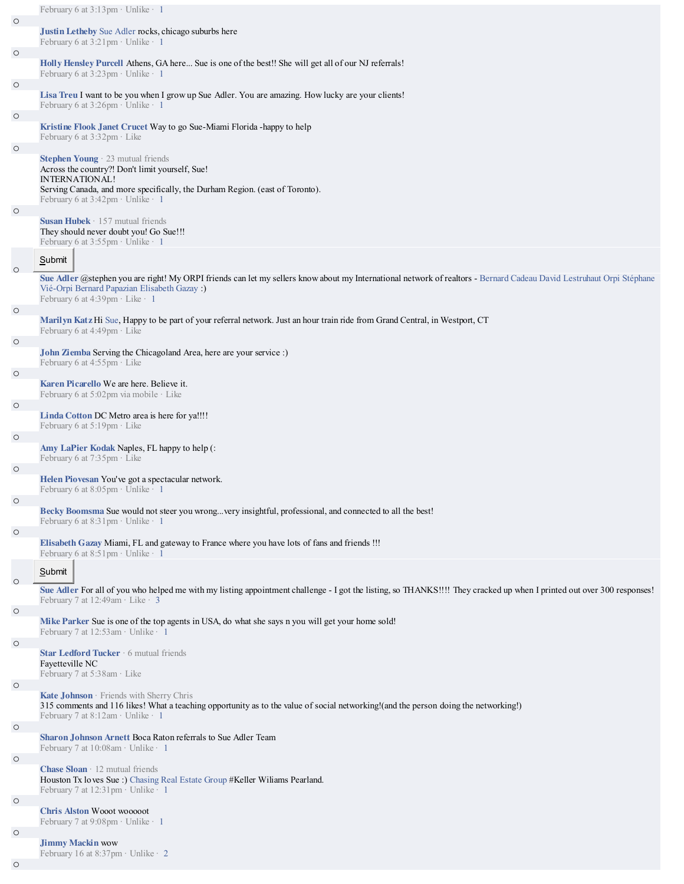|         | February 6 at 3:13pm · Unlike · 1                                                                                                                                                                                   |
|---------|---------------------------------------------------------------------------------------------------------------------------------------------------------------------------------------------------------------------|
| $\circ$ | Justin Letheby Sue Adler rocks, chicago suburbs here                                                                                                                                                                |
|         | February 6 at 3:21pm · Unlike · 1                                                                                                                                                                                   |
| $\circ$ |                                                                                                                                                                                                                     |
|         | Holly Hensley Purcell Athens, GA here Sue is one of the best!! She will get all of our NJ referrals!<br>February 6 at 3:23pm · Unlike · 1                                                                           |
| $\circ$ |                                                                                                                                                                                                                     |
|         | Lisa Treu I want to be you when I grow up Sue Adler. You are amazing. How lucky are your clients!<br>February 6 at 3:26pm · Unlike · 1                                                                              |
| $\circ$ |                                                                                                                                                                                                                     |
|         | Kristine Flook Janet Crucet Way to go Sue-Miami Florida -happy to help                                                                                                                                              |
| $\circ$ | February 6 at $3:32$ pm $\cdot$ Like                                                                                                                                                                                |
|         | <b>Stephen Young</b> $\cdot$ 23 mutual friends                                                                                                                                                                      |
|         | Across the country?! Don't limit yourself, Sue!                                                                                                                                                                     |
|         | <b>INTERNATIONAL!</b><br>Serving Canada, and more specifically, the Durham Region. (east of Toronto).                                                                                                               |
|         | February 6 at 3:42pm · Unlike · 1                                                                                                                                                                                   |
| $\circ$ | Susan Hubek · 157 mutual friends                                                                                                                                                                                    |
|         | They should never doubt you! Go Sue!!!                                                                                                                                                                              |
|         | February 6 at 3:55pm · Unlike · 1                                                                                                                                                                                   |
|         | Submit                                                                                                                                                                                                              |
| $\circ$ |                                                                                                                                                                                                                     |
|         | Sue Adler @stephen you are right! My ORPI friends can let my sellers know about my International network of realtors - Bernard Cadeau David Lestruhaut Orpi Stéphane<br>Vié-Orpi Bernard Papazian Elisabeth Gazay:) |
|         | February 6 at 4:39pm · Like · 1                                                                                                                                                                                     |
| $\circ$ | Marilyn Katz Hi Sue, Happy to be part of your referral network. Just an hour train ride from Grand Central, in Westport, CT                                                                                         |
|         | February 6 at 4:49pm · Like                                                                                                                                                                                         |
| $\circ$ |                                                                                                                                                                                                                     |
|         | John Ziemba Serving the Chicagoland Area, here are your service :)<br>February 6 at 4:55pm · Like                                                                                                                   |
| $\circ$ |                                                                                                                                                                                                                     |
|         | Karen Picarello We are here. Believe it.<br>February 6 at 5:02pm via mobile · Like                                                                                                                                  |
| $\circ$ |                                                                                                                                                                                                                     |
|         | Linda Cotton DC Metro area is here for ya!!!!                                                                                                                                                                       |
|         | February 6 at 5:19pm · Like                                                                                                                                                                                         |
| $\circ$ | Amy LaPier Kodak Naples, FL happy to help (:                                                                                                                                                                        |
|         | February 6 at 7:35pm · Like                                                                                                                                                                                         |
| $\circ$ | Helen Piovesan You've got a spectacular network.                                                                                                                                                                    |
|         | February 6 at $8:05$ pm · Unlike · 1                                                                                                                                                                                |
| $\circ$ | Becky Boomsma Sue would not steer you wrong very insightful, professional, and connected to all the best!                                                                                                           |
|         | February 6 at $8:31$ pm · Unlike · 1                                                                                                                                                                                |
| $\circ$ |                                                                                                                                                                                                                     |
|         | Elisabeth Gazay Miami, FL and gateway to France where you have lots of fans and friends!!!<br>February 6 at 8:51pm · Unlike · 1                                                                                     |
|         |                                                                                                                                                                                                                     |
| $\circ$ | Submit                                                                                                                                                                                                              |
|         | Sue Adler For all of you who helped me with my listing appointment challenge - I got the listing, so THANKS!!!! They cracked up when I printed out over 300 responses!<br>February 7 at 12:49am · Like · 3          |
| $\circ$ |                                                                                                                                                                                                                     |
|         | Mike Parker Sue is one of the top agents in USA, do what she says n you will get your home sold!                                                                                                                    |
| $\circ$ | February 7 at 12:53 am · Unlike · 1                                                                                                                                                                                 |
|         | Star Ledford Tucker · 6 mutual friends                                                                                                                                                                              |
|         | Fayetteville NC<br>February 7 at 5:38am · Like                                                                                                                                                                      |
| $\circ$ |                                                                                                                                                                                                                     |
|         | Kate Johnson · Friends with Sherry Chris                                                                                                                                                                            |
|         | 315 comments and 116 likes! What a teaching opportunity as to the value of social networking!(and the person doing the networking!)<br>February 7 at 8:12am · Unlike · 1                                            |
| $\circ$ |                                                                                                                                                                                                                     |
|         | Sharon Johnson Arnett Boca Raton referrals to Sue Adler Team<br>February 7 at 10:08am · Unlike · 1                                                                                                                  |
| $\circ$ |                                                                                                                                                                                                                     |
|         | Chase Sloan · 12 mutual friends                                                                                                                                                                                     |
|         | Houston Tx loves Sue: Chasing Real Estate Group #Keller Williams Pearland.<br>February 7 at 12:31pm · Unlike · 1                                                                                                    |
| $\circ$ |                                                                                                                                                                                                                     |
|         | <b>Chris Alston Wooot wooooot</b><br>February 7 at $9:08$ pm · Unlike · 1                                                                                                                                           |
| $\circ$ |                                                                                                                                                                                                                     |
|         | <b>Jimmy Mackin wow</b>                                                                                                                                                                                             |
| $\circ$ | February 16 at 8:37pm · Unlike · 2                                                                                                                                                                                  |
|         |                                                                                                                                                                                                                     |